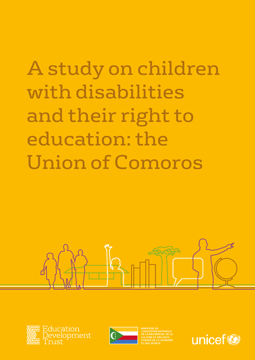# A study on children with disabilities and their right to education: the Union of Comoros







**MINISTERE DE L'EDUCATION NATIONALE DE LA RECHERCHE, DE LA CULTURE ET DES ARTS, CHARGE DE LA JEUNESSE ET DES SPORTS**

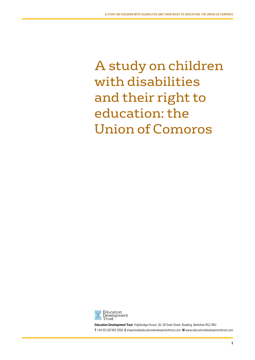## A study on children with disabilities and their right to education: the Union of Comoros



Education Development Trust Highbridge House, 16–18 Duke Street, Reading, Berkshire RG1 4RU T +44 (0) 118 902 1000 E enquiries@educationdevelopmenttrust.com W www.educationdevelopmenttrust.com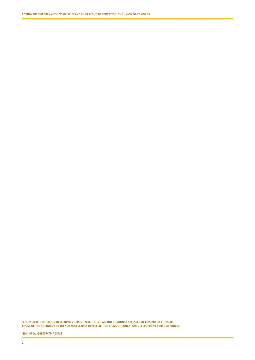#### ISBN: 978-1-909437-77-7 03/16

© COPYRIGHT EDUCATION DEVELOPMENT TRUST 2016. THE VIEWS AND OPINIONS EXPRESSED IN THIS PUBLICATION ARE THOSE OF THE AUTHORS AND DO NOT NECESSARILY REPRESENT THE VIEWS OF EDUCATION DEVELOPMENT TRUST OR UNICEF.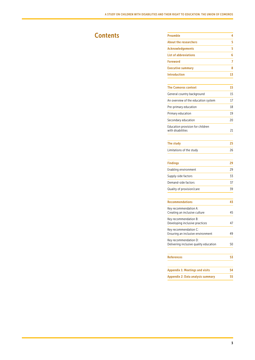| <b>Preamble</b>                                                 | 4  |
|-----------------------------------------------------------------|----|
| <b>About the researchers</b>                                    | 5  |
| <b>Acknowledgements</b>                                         | 5  |
| <b>List of abbreviations</b>                                    | 6  |
| <b>Foreword</b>                                                 | 7  |
| <b>Executive summary</b>                                        | 8  |
| <b>Introduction</b>                                             | 13 |
| <b>The Comoros context</b>                                      | 15 |
| General country background                                      | 15 |
| An overview of the education system                             | 17 |
| Pre-primary education                                           | 18 |
| Primary education                                               | 19 |
| Secondary education                                             | 20 |
| Education provision for children<br>with disabilities           | 21 |
| The study                                                       | 25 |
| Limitations of the study                                        | 26 |
| <b>Findings</b>                                                 | 29 |
| Enabling environment                                            | 29 |
| Supply-side factors                                             | 33 |
| Demand-side factors                                             | 37 |
| Quality of provision/care                                       | 39 |
| <b>Recommendations</b>                                          | 43 |
| Key recommendation A:<br>Creating an inclusive culture          | 45 |
| Key recommendation B:<br>Developing inclusive practices         | 47 |
| Key recommendation C:<br>Ensuring an inclusive environment      | 49 |
| Key recommendation D:<br>Delivering inclusive quality education | 50 |
| <b>References</b>                                               | 53 |
| <b>Appendix 1: Meetings and visits</b>                          | 54 |
| Appendix 2: Data analysis summary                               | 55 |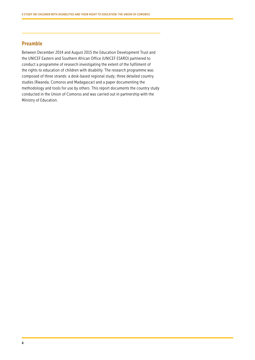## Preamble

Between December 2014 and August 2015 the Education Development Trust and the UNICEF Eastern and Southern African Office (UNICEF ESARO) partnered to conduct a programme of research investigating the extent of the fulfilment of the rights to education of children with disability. The research programme was composed of three strands: a desk-based regional study; three detailed country studies (Rwanda, Comoros and Madagascar) and a paper documenting the methodology and tools for use by others. This report documents the country study conducted in the Union of Comoros and was carried out in partnership with the Ministry of Education.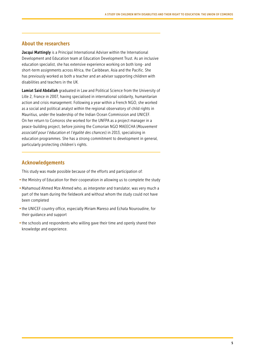## About the researchers

Jacqui Mattingly is a Principal International Adviser within the International Development and Education team at Education Development Trust. As an inclusive education specialist, she has extensive experience working on both long- and short-term assignments across Africa, the Caribbean, Asia and the Pacific. She has previously worked as both a teacher and an adviser supporting children with disabilities and teachers in the UK.

Lamiat Said Abdallah graduated in Law and Political Science from the University of Lille 2, France in 2007, having specialised in international solidarity, humanitarian action and crisis management. Following a year within a French NGO, she worked as a social and political analyst within the regional observatory of child rights in Mauritius, under the leadership of the Indian Ocean Commission and UNICEF. On her return to Comoros she worked for the UNFPA as a project manager in a peace-building project, before joining the Comorian NGO MAEECHA (*Mouvement associatif pour l'éducation et l'égalité des chances*) in 2013, specialising in education programmes. She has a strong commitment to development in general, particularly protecting children's rights.

## Acknowledgements

This study was made possible because of the efforts and participation of:

- **•** the Ministry of Education for their cooperation in allowing us to complete the study
- **•** Mahamoud Ahmed Mze Ahmed who, as interpreter and translator, was very much a part of the team during the fieldwork and without whom the study could not have been completed
- **•** the UNICEF country office, especially Miriam Mareso and Echata Nouroudine, for their guidance and support
- **•** the schools and respondents who willing gave their time and openly shared their knowledge and experience.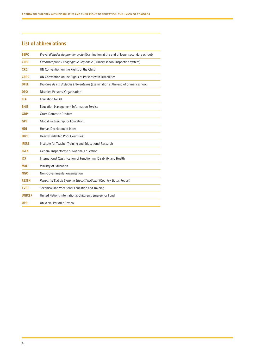## List of abbreviations

| <b>BEPC</b>   | Brevet d'études du premier cycle (Examination at the end of lower secondary school) |
|---------------|-------------------------------------------------------------------------------------|
| <b>CIPR</b>   | Circonscription Pédagogique Régionale (Primary school inspection system)            |
| <b>CRC</b>    | UN Convention on the Rights of the Child                                            |
| <b>CRPD</b>   | UN Convention on the Rights of Persons with Disabilities                            |
| <b>DFEE</b>   | Diplôme de Fin d'Etudes Elémentaires (Examination at the end of primary school)     |
| <b>DPO</b>    | Disabled Persons' Organisation                                                      |
| <b>EFA</b>    | <b>Education for All</b>                                                            |
| <b>EMIS</b>   | <b>Education Management Information Service</b>                                     |
| <b>GDP</b>    | <b>Gross Domestic Product</b>                                                       |
| <b>GPE</b>    | Global Partnership for Education                                                    |
| <b>HDI</b>    | Human Development Index                                                             |
| <b>HIPC</b>   | <b>Heavily Indebted Poor Countries</b>                                              |
| <b>IFERE</b>  | Institute for Teacher Training and Educational Research                             |
| <b>IGEN</b>   | General Inspectorate of National Education                                          |
| <b>ICF</b>    | International Classification of Functioning, Disability and Health                  |
| <b>MoE</b>    | Ministry of Education                                                               |
| <b>NGO</b>    | Non-governmental organisation                                                       |
| <b>RESEN</b>  | Rapport d'Etat du Système Educatif National (Country Status Report)                 |
| <b>TVET</b>   | Technical and Vocational Education and Training                                     |
| <b>UNICEF</b> | United Nations International Children's Emergency Fund                              |
| <b>UPR</b>    | Universal Periodic Review                                                           |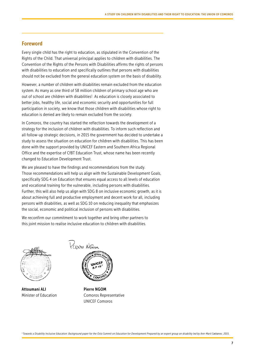## Foreword

Every single child has the right to education, as stipulated in the Convention of the Rights of the Child. That universal principal applies to children with disabilities. The Convention of the Rights of the Persons with Disabilities affirms the rights of persons with disabilities to education and specifically outlines that persons with disabilities should not be excluded from the general education system on the basis of disability.

However, a number of children with disabilities remain excluded from the education system. As many as one third of 58 million children of primary school age who are out of school are children with disabilities<sup>1</sup>. As education is closely associated to better jobs, healthy life, social and economic security and opportunities for full participation in society, we know that those children with disabilities whose right to education is denied are likely to remain excluded from the society.

In Comoros, the country has started the reflection towards the development of a strategy for the inclusion of children with disabilities. To inform such reflection and all follow-up strategic decisions, in 2015 the government has decided to undertake a study to assess the situation on education for children with disabilities. This has been done with the support provided by UNICEF Eastern and Southern Africa Regional Office and the expertise of CfBT Education Trust, whose name has been recently changed to Education Development Trust.

We are pleased to have the findings and recommendations from the study. Those recommendations will help us align with the Sustainable Development Goals, specifically SDG 4 on Education that ensures equal access to all levels of education and vocational training for the vulnerable, including persons with disabilities. Further, this will also help us align with SDG 8 on inclusive economic growth, as it is about achieving full and productive employment and decent work for all, including persons with disabilities, as well as SDG 10 on reducing inequality that emphasizes the social, economic and political inclusion of persons with disabilities.

We reconfirm our commitment to work together and bring other partners to this joint mission to realise inclusive education to children with disabilities.



Attoumani ALI Minister of Education



Pierre NGOM Comoros Representative UNICEF Comoros

<sup>1</sup>*Towards a Disability Inclusive Education: Background paper for the Oslo Summit on Education for Development Prepared by an expert group on disability led by Ann-Marit Sæbønes. 2015.*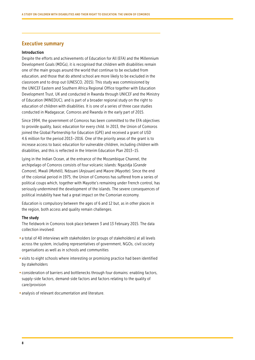## Executive summary

## Introduction

Despite the efforts and achievements of Education for All (EFA) and the Millennium Development Goals (MDGs), it is recognised that children with disabilities remain one of the main groups around the world that continue to be excluded from education, and those that do attend school are more likely to be excluded in the classroom and to drop out (UNESCO, 2015). This study was commissioned by the UNICEF Eastern and Southern Africa Regional Office together with Education Development Trust, UK and conducted in Rwanda through UNICEF and the Ministry of Education (MINEDUC), and is part of a broader regional study on the right to education of children with disabilities. It is one of a series of three case studies conducted in Madagascar, Comoros and Rwanda in the early part of 2015.

Since 1994, the government of Comoros has been committed to the EFA objectives to provide quality, basic education for every child. In 2013, the Union of Comoros joined the Global Partnership for Education (GPE) and received a grant of USD 4.6 million for the period 2013–2016. One of the priority areas of the grant is to increase access to basic education for vulnerable children, including children with disabilities, and this is reflected in the Interim Education Plan 2013–15.

Lying in the Indian Ocean, at the entrance of the Mozambique Channel, the archipelago of Comoros consists of four volcanic islands: Ngazidja (*Grande Comore*), Mwali (*Mohéli*), Ndzuani (*Anjouan*) and Maore (*Mayotte*). Since the end of the colonial period in 1975, the Union of Comoros has suffered from a series of political coups which, together with Mayotte's remaining under French control, has seriously undermined the development of the islands. The severe consequences of political instability have had a great impact on the Comorian economy.

Education is compulsory between the ages of 6 and 12 but, as in other places in the region, both access and quality remain challenges.

### The study

The fieldwork in Comoros took place between 3 and 13 February 2015. The data collection involved:

- **•** a total of 40 interviews with stakeholders (or groups of stakeholders) at all levels across the system, including representatives of government, NGOs, civil society organisations as well as in schools and communities
- **•** visits to eight schools where interesting or promising practice had been identified by stakeholders
- **•** consideration of barriers and bottlenecks through four domains: enabling factors, supply-side factors, demand-side factors and factors relating to the quality of care/provision
- **•** analysis of relevant documentation and literature.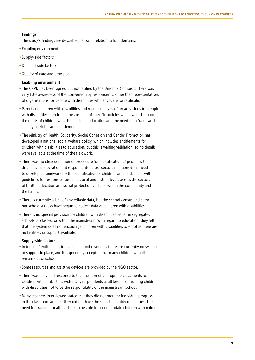## Findings

The study's findings are described below in relation to four domains:

- **•** Enabling environment
- **•** Supply-side factors
- **•** Demand-side factors
- **•** Quality of care and provision

## Enabling environment

- **•** The CRPD has been signed but not ratified by the Union of Comoros. There was very little awareness of the Convention by respondents, other than representatives of organisations for people with disabilities who advocate for ratification.
- **•** Parents of children with disabilities and representatives of organisations for people with disabilities mentioned the absence of specific policies which would support the rights of children with disabilities to education and the need for a framework specifying rights and entitlements.
- **•** The Ministry of Health, Solidarity, Social Cohesion and Gender Promotion has developed a national social welfare policy, which includes entitlements for children with disabilities to education, but this is waiting validation, so no details were available at the time of the fieldwork.
- **•** There was no clear definition or procedure for identification of people with disabilities in operation but respondents across sectors mentioned the need to develop a framework for the identification of children with disabilities, with guidelines for responsibilities at national and district levels across the sectors of health, education and social protection and also within the community and the family.
- **•** There is currently a lack of any reliable data, but the school census and some household surveys have begun to collect data on children with disabilities.
- **•** There is no special provision for children with disabilities either in segregated schools or classes, or within the mainstream. With regard to education, they felt that the system does not encourage children with disabilities to enrol as there are no facilities or support available.

## Supply-side factors

- **•** In terms of entitlement to placement and resources there are currently no systems of support in place, and it is generally accepted that many children with disabilities remain out of school.
- **•** Some resources and assistive devices are provided by the NGO sector.
- **•** There was a divided response to the question of appropriate placements for children with disabilities, with many respondents at all levels considering children with disabilities not to be the responsibility of the mainstream school.
- **•** Many teachers interviewed stated that they did not monitor individual progress in the classroom and felt they did not have the skills to identify difficulties. The need for training for all teachers to be able to accommodate children with mild or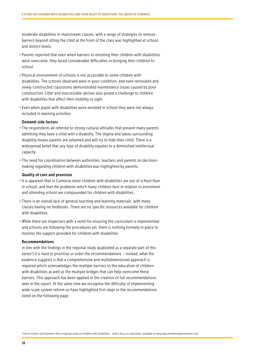moderate disabilities in mainstream classes, with a range of strategies to remove barriers beyond sitting the child at the front of the class was highlighted at school and district levels.

- **•** Parents reported that even when barriers to enrolling their children with disabilities were overcome, they faced considerable difficulties in bringing their children to school.
- **•** Physical environment of schools is not accessible to some children with disabilities. The schools observed were in poor condition, and even renovated and newly constructed classrooms demonstrated maintenance issues caused by poor construction. Litter and inaccessible latrines also posed a challenge to children with disabilities that affect their mobility or sight.
- **•** Even when pupils with disabilities were enrolled in school they were not always included in learning activities.

## Demand-side factors

- **•** The respondents all referred to strong cultural attitudes that prevent many parents admitting they have a child with a disability. The stigma and taboo surrounding disability means parents are ashamed and will try to hide their child. There is a widespread belief that any type of disability equates to a diminished intellectual capacity.
- **•** The need for coordination between authorities, teachers and parents on decisionmaking regarding children with disabilities was highlighted by parents.

## Quality of care and provision

- **•** It is apparent that in Comoros more children with disabilities are out of school than in school, and that the problems which many children face in relation to enrolment and attending school are compounded for children with disabilities.
- **•** There is an overall lack of general teaching and learning materials, with many classes having no textbooks. There are no specific resources available for children with disabilities.
- **•** While there are inspectors with a remit for ensuring the curriculum is implemented and schools are following the procedures set, there is nothing formally in place to monitor the support provided for children with disabilities.

## Recommendations

In line with the findings in the regional study (published as a separate part of this series<sup>2</sup>) it is hard to prioritise or order the recommendations  $-$  instead, what the evidence suggests is that a comprehensive and multidimensional approach is required which acknowledges the multiple barriers to the education of children with disabilities as well as the multiple bridges that can help overcome these barriers. This approach has been applied in the creation of full recommendations later in the report. At the same time we recognise the difficulty of implementing wide-scale system reform so have highlighted first steps in the recommendations listed on the following page.

2 See *An Eastern and Southern Africa regional study on children with disabilities – with a focus on education,* available at www.educationdevelopmenttrust.com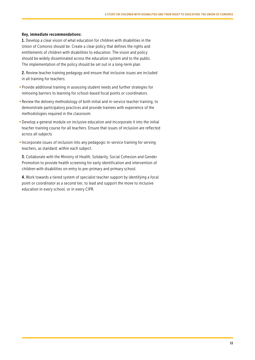## Key, immediate recommendations:

1. Develop a clear vision of what education for children with disabilities in the Union of Comoros should be. Create a clear policy that defines the rights and entitlements of children with disabilities to education. The vision and policy should be widely disseminated across the education system and to the public. The implementation of the policy should be set out in a long-term plan.

2. Review teacher training pedagogy and ensure that inclusive issues are included in all training for teachers:

- **•** Provide additional training in assessing student needs and further strategies for removing barriers to learning for school-based focal points or coordinators.
- **•** Review the delivery methodology of both initial and in-service teacher training, to demonstrate participatory practices and provide trainees with experience of the methodologies required in the classroom.
- **•** Develop a general module on inclusive education and incorporate it into the initial teacher training course for all teachers. Ensure that issues of inclusion are reflected across all subjects.
- **•** Incorporate issues of inclusion into any pedagogic in-service training for serving teachers, as standard, within each subject.

3. Collaborate with the Ministry of Health, Solidarity, Social Cohesion and Gender Promotion to provide health screening for early identification and intervention of children with disabilities on entry to pre-primary and primary school.

4. Work towards a tiered system of specialist teacher support by identifying a focal point or coordinator as a second tier, to lead and support the move to inclusive education in every school, or in every CIPR.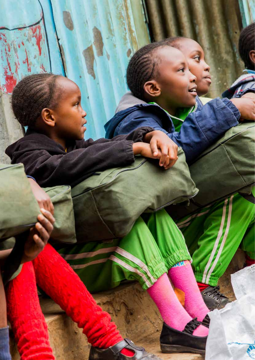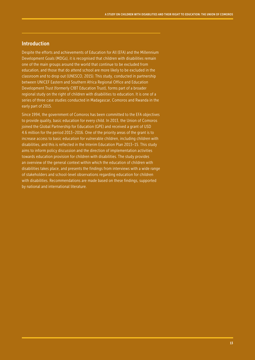## Introduction

Despite the efforts and achievements of Education for All (EFA) and the Millennium Development Goals (MDGs), it is recognised that children with disabilities remain one of the main groups around the world that continue to be excluded from education, and those that do attend school are more likely to be excluded in the classroom and to drop out (UNESCO, 2015). This study, conducted in partnership between UNICEF Eastern and Southern Africa Regional Office and Education Development Trust (formerly CfBT Education Trust), forms part of a broader regional study on the right of children with disabilities to education. It is one of a series of three case studies conducted in Madagascar, Comoros and Rwanda in the early part of 2015.

Since 1994, the government of Comoros has been committed to the EFA objectives to provide quality, basic education for every child. In 2013, the Union of Comoros joined the Global Partnership for Education (GPE) and received a grant of USD 4.6 million for the period 2013–2016. One of the priority areas of the grant is to increase access to basic education for vulnerable children, including children with disabilities, and this is reflected in the Interim Education Plan 2013–15. This study aims to inform policy discussion and the direction of implementation activities towards education provision for children with disabilities. The study provides an overview of the general context within which the education of children with disabilities takes place, and presents the findings from interviews with a wide range of stakeholders and school-level observations regarding education for children with disabilities. Recommendations are made based on these findings, supported by national and international literature.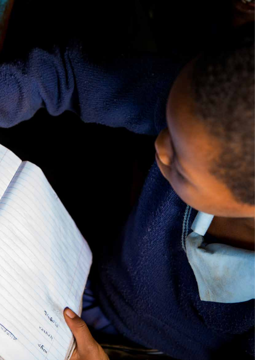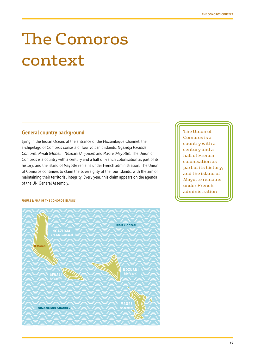# The Comoros context

## General country background

Lying in the Indian Ocean, at the entrance of the Mozambique Channel, the archipelago of Comoros consists of four volcanic islands: Ngazidja (*Grande Comore*), Mwali (*Mohéli*), Ndzuani (*Anjouan*) and Maore (*Mayotte*). The Union of Comoros is a country with a century and a half of French colonisation as part of its history, and the island of Mayotte remains under French administration. The Union of Comoros continues to claim the sovereignty of the four islands, with the aim of maintaining their territorial integrity. Every year, this claim appears on the agenda of the UN General Assembly.

The Union of Comoros is a country with a century and a half of French colonisation as part of its history, and the island of Mayotte remains under French administration

### FIGURE 1: MAP OF THE COMOROS ISLANDS

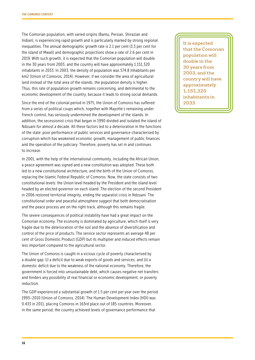The Comorian population, with varied origins (Bantu, Persian, Shirazian and Indian), is experiencing rapid growth and is particularly marked by strong regional inequalities. The annual demographic growth rate is 2.1 per cent (3.3 per cent for the island of Mwali) and demographic projections show a rate of 2.6 per cent in 2019. With such growth, it is expected that the Comorian population will double in the 30 years from 2003, and the country will have approximately 1,151,320 inhabitants in 2033. In 2003, the density of population was 574.8 inhabitants per km2 (Union of Comoros, 2014). However, if we consider the area of agricultural land instead of the total area of the islands, the population density is higher. Thus, this rate of population growth remains concerning, and detrimental to the economic development of the country, because it leads to strong social demands.

Since the end of the colonial period in 1975, the Union of Comoros has suffered from a series of political coups which, together with Mayotte's remaining under French control, has seriously undermined the development of the islands. In addition, the secessionist crisis that began in 1990 divided and isolated the island of Ndzuani for almost a decade. All these factors led to a deterioration in the functions of the state: poor performance of public services and governance characterised by corruption which has weakened economic growth, management of public finances and the operation of the judiciary. Therefore, poverty has set in and continues to increase.

In 2001, with the help of the international community, including the African Union, a peace agreement was signed and a new constitution was adopted. These both led to a new constitutional architecture, and the birth of the Union of Comoros, replacing the Islamic Federal Republic of Comoros. Now, the state consists of two constitutional levels: the Union level headed by the President and the island level headed by an elected governor on each island. The election of the second President in 2006 restored territorial integrity, ending the separatist crisis in Ndzuani. The constitutional order and peaceful atmosphere suggest that both democratisation and the peace process are on the right track, although this remains fragile.

The severe consequences of political instability have had a great impact on the Comorian economy. The economy is dominated by agriculture, which itself is very fragile due to the deterioration of the soil and the absence of diversification and control of the price of products. The service sector represents an average 48 per cent of Gross Domestic Product (GDP) but its multiplier and induced effects remain less important compared to the agricultural sector.

The Union of Comoros is caught in a vicious cycle of poverty characterised by a double gap: (i) a deficit due to weak exports of goods and services; and (ii) a domestic deficit due to the weakness of the national economy. Therefore, the government is forced into unsustainable debt, which causes negative net transfers and hinders any possibility of real financial or economic development, or poverty reduction.

The GDP experienced a substantial growth of 1.5 per cent per year over the period 1993–2010 (Union of Comoros, 2014). The Human Development Index (HDI) was 0.433 in 2011, placing Comoros in 163rd place out of 185 countries. Moreover, in the same period, the country achieved levels of governance performance that

It is expected that the Comorian population will double in the 30 years from 2003, and the country will have approximately 1,151,320 inhabitants in 2033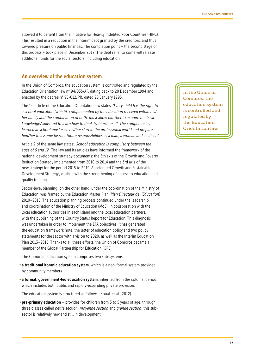allowed it to benefit from the initiative for Heavily Indebted Poor Countries (HIPC). This resulted in a reduction in the interim debt granted by the creditors, and thus lowered pressure on public finances. The completion point – the second stage of this process – took place in December 2012. The debt relief to come will release additional funds for the social sectors, including education.

## An overview of the education system

In the Union of Comoros, the education system is controlled and regulated by the Education Orientation law n° 94/035/AF, dating back to 20 December 1994 and enacted by the decree n° 95-012/PR, dated 20 January 1995.

The 1st article of the Education Orientation law states: *'Every child has the right to a school education [which], complemented by the education received within his/ her family and the combination of both, must allow him/her to acquire the basic knowledge/skills and to learn how to think by him/herself. The competencies learned at school must ease his/her start in the professional world and prepare him/her to assume his/her future responsibilities as a man, a woman and a citizen.'*

Article 2 of the same law states: *'School education is compulsory between the ages of 6 and 12.'* The law and its articles have informed the framework of the national development strategy documents: the 5th axis of the Growth and Poverty Reduction Strategy implemented from 2010 to 2014 and the 3rd axis of the new strategy for the period 2015 to 2019 'Accelerated Growth and Sustainable Development Strategy', dealing with the strengthening of access to education and quality training.

Sector-level planning, on the other hand, under the coordination of the Ministry of Education, was framed by the Education Master Plan (*Plan Directeur de l'Education*) 2010–2015. The education planning process continued under the leadership and coordination of the Ministry of Education (MoE), in collaboration with the local education authorities in each island and the local education partners, with the publishing of the Country Status Report for Education. This diagnosis was undertaken in order to implement the EFA objectives. It has generated the education framework note, the letter of education policy and two policy statements for the sector with a vision to 2020, as well as the Interim Education Plan 2013–2015. Thanks to all these efforts, the Union of Comoros became a member of the Global Partnership for Education (GPE).

The Comorian education system comprises two sub-systems:

- **•** a traditional Koranic education system, which is a non-formal system provided by community members
- **•** a formal, government-led education system, inherited from the colonial period, which includes both public and rapidly-expanding private provision.

The education system is structured as follows: (Kouak et al., 2012)

• **pre-primary education** – provides for children from 3 to 5 years of age, through three classes called *petite section, moyenne section* and *grande section*; this subsector is relatively new and still in development

In the Union of Comoros, the education system is controlled and regulated by the Education Orientation law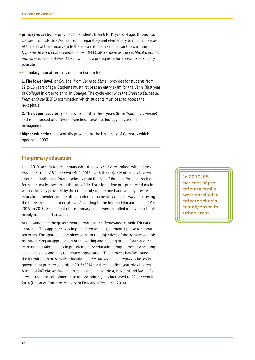- **primary education** provides for students from 6 to 11 years of age, through six classes (from CP1 to CM2, i.e. from preparatory and elementary to middle courses). At the end of the primary cycle there is a national examination to award the *Diplôme de Fin d'Etudes Elémentaires* (DFEE), also known as the *Certificat d'études primaires et elémentaires* (CEPE), which is a prerequisite for access to secondary education
- **•** secondary education divided into two cycles:

1. The lower level, or *Collège* (from *6ème* to *3ème*), provides for students from 12 to 15 years of age. Students must first pass an entry exam for the *6ème* (first year of *Collège*) in order to enrol in *Collège*. The cycle ends with the *Brevet d'Etudes du Premier Cycle* (BEPC) examination which students must pass to access the next phase

2. The upper level, or *Lycée*, covers another three years (from *2nde* to *Terminale*) and is composed of different branches: literature, biology, physics and management

• **higher education** – essentially provided by the University of Comoros which opened in 2003.

## Pre-primary education

Until 2010, access to pre-primary education was still very limited, with a gross enrolment rate of 5.1 per cent (MoE, 2013), with the majority of these children attending traditional Koranic schools from the age of three, before joining the formal education system at the age of six. For a long time pre-primary education was exclusively provided by the community on the one hand, and by private education providers on the other, under the name of *école maternelle* following the three levels mentioned above. According to the Interim Education Plan 2013– 2015, in 2010, 85 per cent of pre-primary pupils were enrolled in private schools, mainly based in urban areas.

At the same time the government introduced the 'Renovated Koranic Education' approach. This approach was implemented as an experimental phase for about ten years. The approach combines some of the objectives of the Koranic schools by introducing an appreciation of the writing and reading of the Koran and the learning that takes places in pre-elementary education programmes, associating social activities and play to literacy appreciation. This process has facilitated the introduction of Koranic education '*petite, moyenne* and *grande*' classes in government primary schools in 2013/2014 for three- to five-year-old children. A total of 243 classes have been established in Ngazidja, Ndzuani and Mwali. As a result the gross enrolment rate for pre-primary has increased to 22 per cent in 2014 (Union of Comoros Ministry of Education Research, 2014).

In 2010, 85 per cent of preprimary pupils were enrolled in private schools, mainly based in urban areas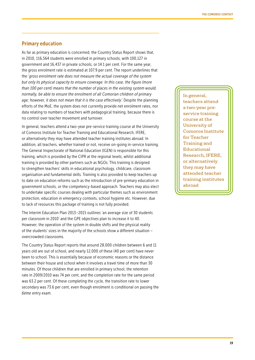## Primary education

As far as primary education is concerned, the Country Status Report shows that, in 2010, 116,564 students were enrolled in primary schools, with 100,127 in government and 16,437 in private schools, or 14.1 per cent. For the same year, the gross enrolment rate is estimated at 107.9 per cent. The report underlines that the '*gross enrolment rate does not measure the actual coverage of the system but only its physical capacity to ensure coverage. In this case, the figure (more than 100 per cent) means that the number of places in the existing system would, normally, be able to ensure the enrolment of all Comorian children of primary age; however, it does not mean that it is the case effectively*.' Despite the planning efforts of the MoE, the system does not currently provide net enrolment rates, nor data relating to numbers of teachers with pedagogical training, because there is no control over teacher movement and turnover.

In general, teachers attend a two-year pre-service training course at the University of Comoros Institute for Teacher Training and Educational Research, IFERE, or alternatively they may have attended teacher training institutes abroad. In addition, all teachers, whether trained or not, receive on-going in-service training. The General Inspectorate of National Education (IGEN) is responsible for this training, which is provided by the CIPR at the regional levels, whilst additional training is provided by other partners such as NGOs. This training is designed to strengthen teachers' skills in educational psychology, childcare, classroom organisation and fundamental skills. Training is also provided to keep teachers up to date on education reforms such as the introduction of pre-primary education in government schools, or the competency-based approach. Teachers may also elect to undertake specific courses dealing with particular themes such as environment protection, education in emergency contexts, school hygiene etc. However, due to lack of resources this package of training is not fully provided.

The Interim Education Plan 2013–2015 outlines 'an average size of 30 students per classroom in 2010' and the GPE objectives plan to increase it to 40. However, the operation of the system in double shifts and the physical reality of the students' sizes in the majority of the schools show a different situation – overcrowded classrooms.

The Country Status Report reports that around 28,000 children between 6 and 11 years old are out of school, and nearly 12,000 of these (40 per cent) have never been to school. This is essentially because of economic reasons or the distance between their house and school when it involves a travel time of more than 30 minutes. Of those children that are enrolled in primary school, the retention rate in 2009/2010 was 74 per cent, and the completion rate for the same period was 63.2 per cent. Of these completing the cycle, the transition rate to lower secondary was 73.6 per cent, even though enrolment is conditional on passing the *6ème* entry exam.

In general, teachers attend a two-year preservice training course at the University of Comoros Institute for Teacher Training and Educational Research, IFERE, or alternatively they may have attended teacher training institutes abroad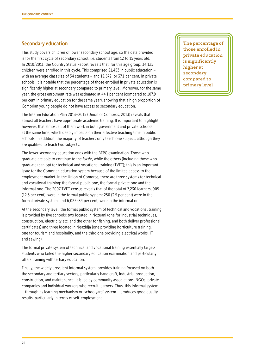## Secondary education

This study covers children of lower secondary school age, so the data provided is for the first cycle of secondary school, i.e. students from 12 to 15 years old. In 2010/2011, the Country Status Report reveals that, for this age group, 34,125 children were enrolled in this cycle. This comprised 21,453 in public education – with an average class size of 34 students – and 12,672, or 37.1 per cent, in private schools. It is notable that the percentage of those enrolled in private education is significantly higher at secondary compared to primary level. Moreover, for the same year, the gross enrolment rate was estimated at 44.1 per cent (compared to 107.9 per cent in primary education for the same year), showing that a high proportion of Comorian young people do not have access to secondary education.

The Interim Education Plan 2013–2015 (Union of Comoros, 2013) reveals that almost all teachers have appropriate academic training. It is important to highlight, however, that almost all of them work in both government and private schools at the same time, which deeply impacts on their effective teaching time in public schools. In addition, the majority of teachers only teach one subject, although they are qualified to teach two subjects.

The lower secondary education ends with the BEPC examination. Those who graduate are able to continue to the *Lycée*, while the others (including those who graduate) can opt for technical and vocational training (TVET); this is an important issue for the Comorian education system because of the limited access to the employment market. In the Union of Comoros, there are three systems for technical and vocational training: the formal public one, the formal private one and the informal one. The 2007 TVET census reveals that of the total of 7,230 learners, 905 (12.5 per cent), were in the formal public system; 250 (3.5 per cent) were in the formal private system; and 6,025 (84 per cent) were in the informal one.

At the secondary level, the formal public system of technical and vocational training is provided by five schools: two located in Ndzuani (one for industrial techniques, construction, electricity etc. and the other for fishing, and both deliver professional certificates) and three located in Ngazidja (one providing horticulture training, one for tourism and hospitality, and the third one providing electrical works, IT and sewing).

The formal private system of technical and vocational training essentially targets students who failed the higher secondary education examination and particularly offers training with tertiary education.

Finally, the widely prevalent informal system, provides training focused on both the secondary and tertiary sectors, particularly handicraft, industrial production, construction, and maintenance. It is led by community associations, NGOs, private companies and individual workers who recruit learners. Thus, this informal system – through its learning mechanism or 'schoolyard' system – produces good quality results, particularly in terms of self-employment.

The percentage of those enrolled in private education is significantly higher at secondary compared to primary level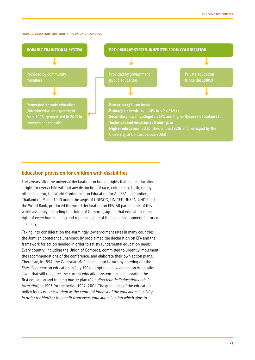#### FIGURE 2: EDUCATION PROVISION IN THE UNION OF COMOROS



## Education provision for children with disabilities

Forty years after the universal declaration on human rights that made education a right for every child without any distinction of race, colour, sex, birth, or any other situation, the World Conference on Education for All (EFA), in Jomtien, Thailand on March 1990 under the aegis of UNESCO, UNICEF, UNFPA, UNDP and the World Bank, produced the world declaration on EFA. All participants of this world assembly, including the Union of Comoros, agreed that education is the right of every human being and represents one of the main development factors of a society.

Taking into consideration the alarmingly low enrolment rates in many countries, the Jomtien conference unanimously proclaimed the declaration on EFA and the framework for action needed in order to satisfy fundamental education needs. Every country, including the Union of Comoros, committed to urgently implement the recommendations of the conference, and elaborate their own action plans. Therefore, in 1994, the Comorian MoE made a crucial turn by carrying out the *Etats Généraux* on education in July 1994, adopting a new education orientation law – that still regulates the current education system – and elaborating the first education and training master plan (*Plan directeur de l'éducation et de la formation*) in 1996 for the period 1997–2001. The guidelines of the education policy focus on '*the student as the centre of interest of the educational activity in order for him/her to benefit from every educational action which aims to*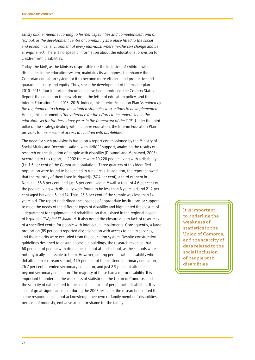*satisfy his/her needs according to his/her capabilities and competencies'; and on 'school, as the development centre of community as a place fitted to the social and economical environment of every individual where he/she can change and be strengthened*'. There is no specific information about the educational provision for children with disabilities.

Today, the MoE, as the Ministry responsible for the inclusion of children with disabilities in the education system, maintains its willingness to enhance the Comorian education system for it to become more efficient and productive and guarantee quality and equity. Thus, since the development of the master plan 2010–2015, four important documents have been produced: the Country Status Report, the education framework note, the letter of education policy, and the Interim Education Plan 2013–2015. Indeed, this Interim Education Plan '*is guided by the requirement to change the adopted strategies into actions to be implemented*'. Hence, this document is '*the reference for the efforts to be undertaken in the education sector for these three years in the framework of the GPE*'. Under the third pillar of the strategy dealing with inclusive education, the Interim Education Plan provides for '*extension of access to children with disabilities*'.

The need for such provision is based on a report commissioned by the Ministry of Social Affairs and Decentralisation, with UNICEF support, analysing the results of research on the situation of people with disability (Djoumoi and Mohamed, 2003). According to this report, in 2002 there were 10,220 people living with a disability (i.e. 1.6 per cent of the Comorian population). Three quarters of this identified population were found to be located in rural areas. In addition, the report showed that the majority of them lived in Ngazidja (57.4 per cent), a third of them in Ndzuani (36.6 per cent) and just 6 per cent lived in Mwali. A total of 4.6 per cent of the people living with disability were found to be less than 6 years old and 21.2 per cent aged between 6 and 14. Thus, 25.8 per cent of the sample was less than 14 years old. The report underlined the absence of appropriate institutions or support to meet the needs of the different types of disability and highlighted the closure of a department for equipment and rehabilitation that existed in the regional hospital of Ngazidja, *l'Hôpital El-Maarouf*. It also noted the closure due to lack of resources of a specified centre for people with intellectual impairments. Consequently, a large proportion (85 per cent) reported dissatisfaction with access to health services, and the majority were excluded from the education system. Despite construction guidelines designed to ensure accessible buildings, the research revealed that 60 per cent of people with disabilities did not attend school, as the schools were not physically accessible to them. However, among people with a disability who did attend mainstream school, 41.5 per cent of them attended primary education, 26.7 per cent attended secondary education, and just 2.9 per cent attended beyond secondary education. The majority of these had a motor disability. It is important to underline the weakness of statistics in the Union of Comoros, and the scarcity of data related to the social inclusion of people with disabilities. It is also of great significance that during the 2003 research, the researchers noted that some respondents did not acknowledge their own or family members' disabilities, because of modesty, embarrassment, or shame for the family.

It is important to underline the weakness of statistics in the Union of Comoros, and the scarcity of data related to the social inclusion of people with disabilities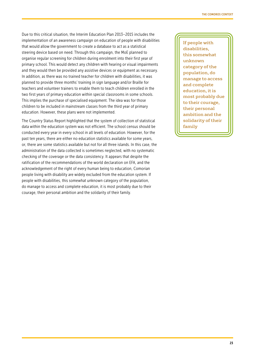Due to this critical situation, the Interim Education Plan 2013–2015 includes the implementation of an awareness campaign on education of people with disabilities that would allow the government to create a database to act as a statistical steering device based on need. Through this campaign, the MoE planned to organise regular screening for children during enrolment into their first year of primary school. This would detect any children with hearing or visual impairments and they would then be provided any assistive devices or equipment as necessary. In addition, as there was no trained teacher for children with disabilities, it was planned to provide three months' training in sign language and/or Braille for teachers and volunteer trainers to enable them to teach children enrolled in the two first years of primary education within special classrooms in some schools. This implies the purchase of specialised equipment. The idea was for those children to be included in mainstream classes from the third year of primary education. However, these plans were not implemented.

The Country Status Report highlighted that the system of collection of statistical data within the education system was not efficient. The school census should be conducted every year in every school in all levels of education. However, for the past ten years, there are either no education statistics available for some years, or, there are some statistics available but not for all three islands. In this case, the administration of the data collected is sometimes neglected, with no systematic checking of the coverage or the data consistency. It appears that despite the ratification of the recommendations of the world declaration on EFA, and the acknowledgement of the right of every human being to education, Comorian people living with disability are widely excluded from the education system. If people with disabilities, this somewhat unknown category of the population, do manage to access and complete education, it is most probably due to their courage, their personal ambition and the solidarity of their family.

If people with disabilities, this somewhat unknown category of the population, do manage to access and complete education, it is most probably due to their courage, their personal ambition and the solidarity of their family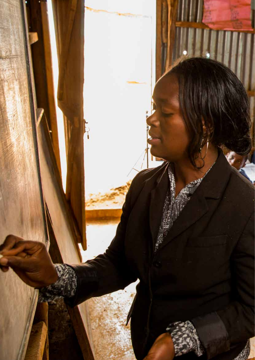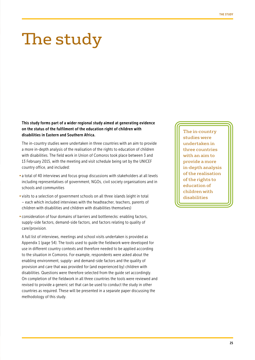## The study

This study forms part of a wider regional study aimed at generating evidence on the status of the fulfilment of the education right of children with disabilities in Eastern and Southern Africa.

The in-country studies were undertaken in three countries with an aim to provide a more in-depth analysis of the realisation of the rights to education of children with disabilities. The field work in Union of Comoros took place between 3 and 13 February 2015, with the meeting and visit schedule being set by the UNICEF country office, and included:

- **•** a total of 40 interviews and focus group discussions with stakeholders at all levels including representatives of government, NGOs, civil society organisations and in schools and communities
- **•** visits to a selection of government schools on all three islands (eight in total – each which included interviews with the headteacher, teachers, parents of children with disabilities and children with disabilities themselves)
- **•** consideration of four domains of barriers and bottlenecks: enabling factors, supply-side factors, demand-side factors, and factors relating to quality of care/provision.

A full list of interviews, meetings and school visits undertaken is provided as Appendix 1 (page 54). The tools used to guide the fieldwork were developed for use in different country contexts and therefore needed to be applied according to the situation in Comoros. For example, respondents were asked about the enabling environment, supply- and demand-side factors and the quality of provision and care that was provided for (and experienced by) children with disabilities. Questions were therefore selected from the guide set accordingly. On completion of the fieldwork in all three countries the tools were reviewed and revised to provide a generic set that can be used to conduct the study in other countries as required. These will be presented in a separate paper discussing the methodology of this study.

The in-country studies were undertaken in three countries with an aim to provide a more in-depth analysis of the realisation of the rights to education of children with disabilities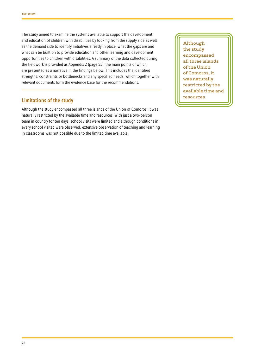The study aimed to examine the systems available to support the development and education of children with disabilities by looking from the supply side as well as the demand side to identify initiatives already in place, what the gaps are and what can be built on to provide education and other learning and development opportunities to children with disabilities. A summary of the data collected during the fieldwork is provided as Appendix 2 (page 55), the main points of which are presented as a narrative in the findings below. This includes the identified strengths, constraints or bottlenecks and any specified needs, which together with relevant documents form the evidence base for the recommendations.

## Limitations of the study

Although the study encompassed all three islands of the Union of Comoros, it was naturally restricted by the available time and resources. With just a two-person team in country for ten days, school visits were limited and although conditions in every school visited were observed, extensive observation of teaching and learning in classrooms was not possible due to the limited time available.

Although the study encompassed all three islands of the Union of Comoros, it was naturally restricted by the available time and resources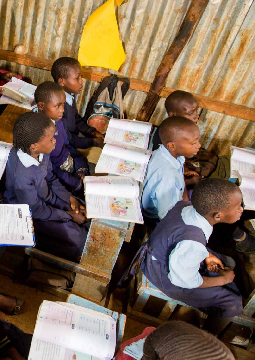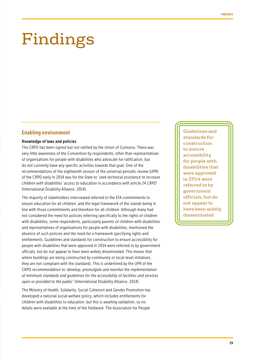## Findings

## Enabling environment

## Knowledge of laws and policies

The CRPD has been signed but not ratified by the Union of Comoros. There was very little awareness of the Convention by respondents, other than representatives of organisations for people with disabilities who advocate for ratification, but do not currently have any specific activities towards that goal. One of the recommendations of the eighteenth session of the universal periodic review (UPR) of the CRPD early in 2014 was for the State to '*seek technical assistance to increase children with disabilities' access to education in accordance with article 24 CRPD*' (International Disability Alliance, 2014).

The majority of stakeholders interviewed referred to the EFA commitments to ensure education for all children, and the legal framework of the islands being in line with those commitments and therefore for all children. Although many had not considered the need for policies referring specifically to the rights of children with disabilities, some respondents, particularly parents of children with disabilities and representatives of organisations for people with disabilities, mentioned the absence of such policies and the need for a framework specifying rights and entitlements. Guidelines and standards for construction to ensure accessibility for people with disabilities that were approved in 2014 were referred to by government officials, but do not appear to have been widely disseminated. This means that where buildings are being constructed by community or local-level initiatives, they are not compliant with the standards. This is underlined by the UPR of the CRPD recommendation to '*develop, promulgate and monitor the implementation of minimum standards and guidelines for the accessibility of facilities and services open or provided to the public*' (International Disability Alliance, 2014).

The Ministry of Health, Solidarity, Social Cohesion and Gender Promotion has developed a national social welfare policy, which includes entitlements for children with disabilities to education, but this is awaiting validation, so no details were available at the time of the fieldwork. The Association for People

Guidelines and standards for construction to ensure accessibility for people with disabilities that were approved in 2014 were referred to by government officials, but do not appear to have been widely disseminated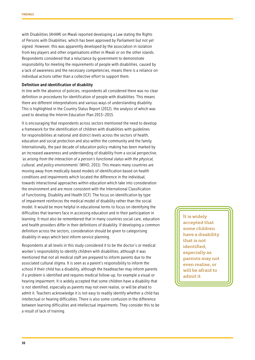with Disabilities (AHAM) on Mwali reported developing a Law stating the Rights of Persons with Disabilities, which has been approved by Parliament but not yet signed. However, this was apparently developed by the association in isolation from key players and other organisations either in Mwali or on the other islands. Respondents considered that a reluctance by government to demonstrate responsibility for meeting the requirements of people with disabilities, caused by a lack of awareness and the necessary competencies, means there is a reliance on individual actions rather than a collective effort to support them.

### Definition and identification of disability

In line with the absence of policies, respondents all considered there was no clear definition or procedures for identification of people with disabilities. This means there are different interpretations and various ways of understanding disability. This is highlighted in the Country Status Report (2012), the analysis of which was used to develop the Interim Education Plan 2013–2015.

It is encouraging that respondents across sectors mentioned the need to develop a framework for the identification of children with disabilities with guidelines for responsibilities at national and district levels across the sectors of health, education and social protection and also within the community and the family. Internationally, the past decade of education policy-making has been marked by an increased awareness and understanding of disability from a social perspective, '*as arising from the interaction of a person's functional status with the physical, cultural, and policy environments*' (WHO, 2011). This means many countries are moving away from medically-based models of identification based on health conditions and impairments which located the difference in the individual, towards interactional approaches within education which take into consideration the environment and are more consistent with the International Classification of Functioning, Disability and Health (ICF). The focus on identification by type of impairment reinforces the medical model of disability rather than the social model. It would be more helpful in educational terms to focus on identifying the difficulties that learners face in accessing education and in their participation in learning. It must also be remembered that in many countries social care, education and health providers differ in their definitions of disability. If developing a common definition across the sectors, consideration should be given to categorising disability in ways which best inform service planning.

Respondents at all levels in this study considered it to be the doctor's or medical worker's responsibility to identify children with disabilities, although it was mentioned that not all medical staff are prepared to inform parents due to the associated cultural stigma. It is seen as a parent's responsibility to inform the school if their child has a disability, although the headteacher may inform parents if a problem is identified and requires medical follow-up, for example a visual or hearing impairment. It is widely accepted that some children have a disability that is not identified, especially as parents may not even realise, or will be afraid to admit it. Teachers acknowledge it is not easy to readily identify whether a child has intellectual or hearing difficulties. There is also some confusion in the difference between learning difficulties and intellectual impairments. They consider this to be a result of lack of training.

It is widely accepted that some children have a disability that is not identified, especially as parents may not even realise, or will be afraid to admit it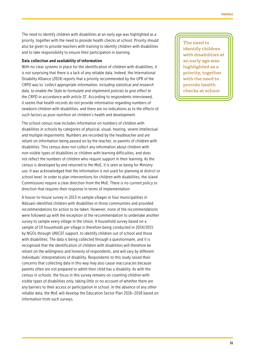The need to identify children with disabilities at an early age was highlighted as a priority, together with the need to provide health checks at school. Priority should also be given to provide teachers with training to identify children with disabilities and to take responsibility to ensure their participation in learning.

## Data collection and availability of information

With no clear systems in place for the identification of children with disabilities, it is not surprising that there is a lack of any reliable data. Indeed, the International Disability Alliance (2014) reports that a priority recommended by the UPR of the CRPD was to '*collect appropriate information, including statistical and research data, to enable the State to formulate and implement policies to give effect to the CRPD in accordance with article 31*'. According to respondents interviewed, it seems that health records do not provide information regarding numbers of newborn children with disabilities, and there are no indications as to the effects of such factors as poor nutrition on children's health and development.

The school census now includes information on numbers of children with disabilities in schools by categories of physical, visual, hearing, severe intellectual and multiple impairments. Numbers are recorded by the headteacher and are reliant on information being passed on by the teacher, or parents of children with disabilities. This census does not collect any information about children with non-visible types of disabilities or children with learning difficulties, and does not reflect the numbers of children who require support in their learning. As the census is developed by and returned to the MoE, it is seen as being for Ministry use. It was acknowledged that the information is not used for planning at district or school level. In order to plan interventions for children with disabilities, the island Commissions require a clear direction from the MoE. There is no current policy or direction that requires their response in terms of implementation.

A house-to-house survey in 2013 in sample villages in four municipalities in Ndzuani identified children with disabilities in those communities and provided recommendations for action to be taken. However, none of the recommendations were followed up with the exception of the recommendation to undertake another survey to sample every village in the Union. A household survey based on a sample of 19 households per village is therefore being conducted in 2014/2015 by NGOs through UNICEF support, to identify children out of school and those with disabilities. The data is being collected through a questionnaire, and it is recognised that the identification of children with disabilities will therefore be reliant on the willingness and honesty of respondents, and will vary by different individuals' interpretations of disability. Respondents to this study raised their concerns that collecting data in this way may also cause inaccuracies because parents often are not prepared to admit their child has a disability. As with the census in schools, the focus in this survey remains on counting children with visible types of disabilities only, taking little or no account of whether there are any barriers to their access or participation in school. In the absence of any other reliable data, the MoE will develop the Education Sector Plan 2016–2018 based on information from such surveys.

The need to identify children with disabilities at an early age was highlighted as a priority, together with the need to provide health checks at school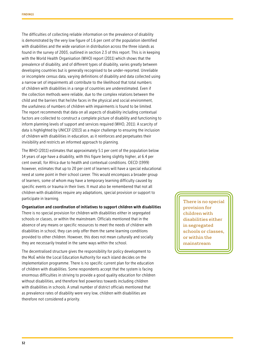The difficulties of collecting reliable information on the prevalence of disability is demonstrated by the very low figure of 1.6 per cent of the population identified with disabilities and the wide variation in distribution across the three islands as found in the survey of 2003, outlined in section 2.3 of this report. This is in keeping with the World Health Organisation (WHO) report (2011) which shows that the prevalence of disability, and of different types of disability, varies greatly between developing countries but is generally recognised to be under-reported. Unreliable or incomplete census data, varying definitions of disability and data collected using a narrow set of impairments all contribute to the likelihood that total numbers of children with disabilities in a range of countries are underestimated. Even if the collection methods were reliable, due to the complex relations between the child and the barriers that he/she faces in the physical and social environment, the usefulness of numbers of children with impairments is found to be limited. The report recommends that data on all aspects of disability including contextual factors are collected to construct a complete picture of disability and functioning to inform planning levels of support and services required (WHO, 2011). A scarcity of data is highlighted by UNICEF (2013) as a major challenge to ensuring the inclusion of children with disabilities in education, as it reinforces and perpetuates their invisibility and restricts an informed approach to planning.

The WHO (2011) estimates that approximately 5.1 per cent of the population below 14 years of age have a disability, with this figure being slightly higher, at 6.4 per cent overall, for Africa due to health and contextual conditions. OECD (1999) however, estimates that up to 20 per cent of learners will have a special educational need at some point in their school career. This would encompass a broader group of learners, some of whom may have a temporary learning difficulty caused by specific events or trauma in their lives. It must also be remembered that not all children with disabilities require any adaptations, special provision or support to participate in learning.

## Organisation and coordination of initiatives to support children with disabilities

There is no special provision for children with disabilities either in segregated schools or classes, or within the mainstream. Officials mentioned that in the absence of any means or specific resources to meet the needs of children with disabilities in school, they can only offer them the same learning conditions provided to other children. However, this does not mean culturally and socially they are necessarily treated in the same ways within the school.

The decentralised structure gives the responsibility for policy development to the MoE while the Local Education Authority for each island decides on the implementation programme. There is no specific current plan for the education of children with disabilities. Some respondents accept that the system is facing enormous difficulties in striving to provide a good quality education for children without disabilities, and therefore feel powerless towards including children with disabilities in schools. A small number of district officials mentioned that as prevalence rates of disability were very low, children with disabilities are therefore not considered a priority.

There is no special provision for children with disabilities either in segregated schools or classes, or within the mainstream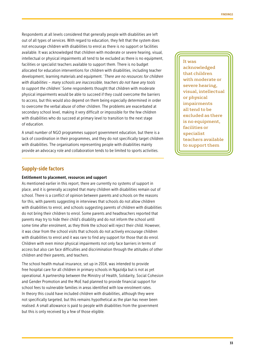Respondents at all levels considered that generally people with disabilities are left out of all types of services. With regard to education, they felt that the system does not encourage children with disabilities to enrol as there is no support or facilities available. It was acknowledged that children with moderate or severe hearing, visual, intellectual or physical impairments all tend to be excluded as there is no equipment, facilities or specialist teachers available to support them. There is no budget allocated for education interventions for children with disabilities, including teacher development, learning materials and equipment. '*There are no resources for children with disabilities – many schools are inaccessible, teachers do not have any tools to support the children*.' Some respondents thought that children with moderate physical impairments would be able to succeed if they could overcome the barriers to access, but this would also depend on them being especially determined in order to overcome the verbal abuse of other children. The problems are exacerbated at secondary school level, making it very difficult or impossible for the few children with disabilities who do succeed at primary level to transition to the next stage of education.

A small number of NGO programmes support government education, but there is a lack of coordination in their programmes, and they do not specifically target children with disabilities. The organisations representing people with disabilities mainly provide an advocacy role and collaboration tends to be limited to sports activities.

## Supply-side factors

## Entitlement to placement, resources and support

As mentioned earlier in this report, there are currently no systems of support in place, and it is generally accepted that many children with disabilities remain out of school. There is a conflict of opinion between parents and schools on the reasons for this, with parents suggesting in interviews that schools do not allow children with disabilities to enrol, and schools suggesting parents of children with disabilities do not bring their children to enrol. Some parents and headteachers reported that parents may try to hide their child's disability and do not inform the school until some time after enrolment, as they think the school will reject their child. However, it was clear from the school visits that schools do not actively encourage children with disabilities to enrol and it was rare to find any support for those that do enrol. Children with even minor physical impairments not only face barriers in terms of access but also can face difficulties and discrimination through the attitudes of other children and their parents, and teachers.

The school health mutual insurance, set up in 2014, was intended to provide free hospital care for all children in primary schools in Ngazidja but is not as yet operational. A partnership between the Ministry of Health, Solidarity, Social Cohesion and Gender Promotion and the MoE had planned to provide financial support for school fees to vulnerable families in areas identified with low enrolment rates. In theory this could have included children with disabilities, although they were not specifically targeted, but this remains hypothetical as the plan has never been realised. A small allowance is paid to people with disabilities from the government but this is only received by a few of those eligible.

It was acknowledged that children with moderate or severe hearing, visual, intellectual or physical impairments all tend to be excluded as there is no equipment, facilities or specialist teachers available to support them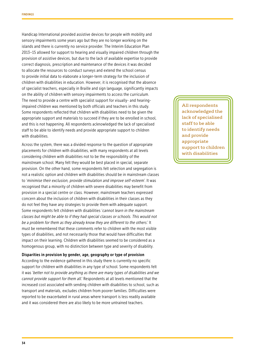Handicap International provided assistive devices for people with mobility and sensory impairments some years ago but they are no longer working on the islands and there is currently no service provider. The Interim Education Plan 2013–15 allowed for support to hearing and visually impaired children through the provision of assistive devices, but due to the lack of available expertise to provide correct diagnosis, prescription and maintenance of the devices it was decided to allocate the resources to conduct surveys and extend the school census to provide initial data to elaborate a longer-term strategy for the inclusion of children with disabilities in education. However, it is recognised that the absence of specialist teachers, especially in Braille and sign language, significantly impacts on the ability of children with sensory impairments to access the curriculum. The need to provide a centre with specialist support for visually- and hearingimpaired children was mentioned by both officials and teachers in this study. Some respondents reflected that children with disabilities need to be given the appropriate support and materials to succeed if they are to be enrolled in school, and this is not happening. All respondents acknowledged the lack of specialised staff to be able to identify needs and provide appropriate support to children with disabilities.

Across the system, there was a divided response to the question of appropriate placements for children with disabilities, with many respondents at all levels considering children with disabilities not to be the responsibility of the mainstream school. Many felt they would be best placed in special, separate provision. On the other hand, some respondents felt selection and segregation is not a realistic option and children with disabilities should be in mainstream classes to '*minimise their exclusion, provide stimulation and improve self-esteem*'. It was recognised that a minority of children with severe disabilities may benefit from provision in a special centre or class. However, mainstream teachers expressed concern about the inclusion of children with disabilities in their classes as they do not feel they have any strategies to provide them with adequate support. Some respondents felt children with disabilities '*cannot learn in the mainstream classes but might be able to if they had special classes or schools. This would not be a problem for them as they already know they are different to the others*.' It must be remembered that these comments refer to children with the most visible types of disabilities, and not necessarily those that would have difficulties that impact on their learning. Children with disabilities seemed to be considered as a homogenous group, with no distinction between type and severity of disability.

## Disparities in provision by gender, age, geography or type of provision

According to the evidence gathered in this study there is currently no specific support for children with disabilities in any type of school. Some respondents felt it was '*better not to provide anything as there are many types of disabilities and we cannot provide support for them all*.' Respondents at all levels mentioned that the increased cost associated with sending children with disabilities to school, such as transport and materials, excludes children from poorer families. Difficulties were reported to be exacerbated in rural areas where transport is less readily available and it was considered there are also likely to be more untrained teachers.

All respondents acknowledged the lack of specialised staff to be able to identify needs and provide appropriate support to children with disabilities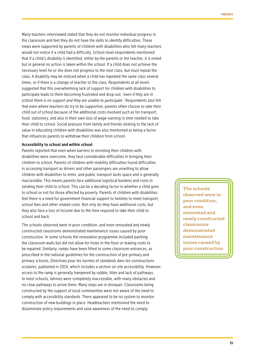Many teachers interviewed stated that they do not monitor individual progress in the classroom and feel they do not have the skills to identify difficulties. These views were supported by parents of children with disabilities who felt many teachers would not notice if a child had a difficulty. School-level respondents mentioned that if a child's disability is identified, either by the parents or the teacher, it is noted but in general no action is taken within the school. If a child does not achieve the necessary level he or she does not progress to the next class, but must repeat the class. A disability may be noticed when a child has repeated the same class several times, or if there is a change of teacher to the class. Respondents at all levels suggested that this overwhelming lack of support for children with disabilities to participate leads to them becoming frustrated and drop out, '*even if they are in school there is no support and they are unable to participate'*. Respondents also felt that even where teachers do try to be supportive, parents often choose to take their child out of school because of the additional costs involved such as for transport, food, stationery, and also in their own loss of wage-earning in time needed to take their child to school. Social pressure from family and friends relating to the lack of value in educating children with disabilities was also mentioned as being a factor that influences parents to withdraw their children from school.

### Accessibility to school and within school

Parents reported that even when barriers to enrolling their children with disabilities were overcome, they face considerable difficulties in bringing their children to school. Parents of children with mobility difficulties found difficulties in accessing transport as drivers and other passengers are unwilling to allow children with disabilities to enter, and public transport lacks space and is generally inaccessible. This means parents face additional logistical burdens and costs in sending their child to school. This can be a deciding factor in whether a child goes to school or not for those affected by poverty. Parents of children with disabilities feel there is a need for government financial support to families to meet transport, school fees and other related costs. Not only do they have additional costs, but they also face a loss of income due to the time required to take their child to school and back.

The schools observed were in poor condition, and even renovated and newly constructed classrooms demonstrated maintenance issues caused by poor construction. In some schools the renovation programme included painting the classroom walls but did not allow for holes in the floor or leaking roofs to be repaired. Similarly, ramps have been fitted to some classroom entrances, as prescribed in the national guidelines for the construction of pre-primary and primary schools, *Directives pour les normes et standards dans les constructions scolaires*, published in 2014, which includes a section on site accessibility. However, access to the ramp is generally hampered by rubble, litter and lack of pathways. In most schools, latrines were completely inaccessible, with many obstacles and no clear pathways to arrive there. Many steps are in disrepair. Classrooms being constructed by the support of local communities were not aware of the need to comply with accessibility standards. There appeared to be no system to monitor construction of new buildings in place. Headteachers mentioned the need to disseminate policy requirements and raise awareness of the need to comply.

The schools observed were in poor condition, and even renovated and newly constructed classrooms demonstrated maintenance issues caused by poor construction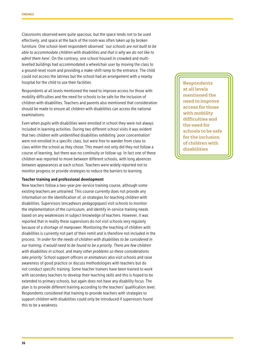Classrooms observed were quite spacious, but the space tends not to be used effectively, and space at the back of the room was often taken up by broken furniture. One school-level respondent observed: '*our schools are not built to be able to accommodate children with disabilities and that is why we do not like to admit them here*'. On the contrary, one school housed in crowded and multilevelled buildings had accommodated a wheelchair user by moving the class to a ground-level room and providing a make-shift ramp to the entrance. The child could not access the latrines but the school had an arrangement with a nearby hospital for the child to use their facilities.

Respondents at all levels mentioned the need to improve access for those with mobility difficulties and the need for schools to be safe for the inclusion of children with disabilities. Teachers and parents also mentioned that consideration should be made to ensure all children with disabilities can access the national examinations.

Even when pupils with disabilities were enrolled in school they were not always included in learning activities. During two different school visits it was evident that two children with unidentified disabilities exhibiting '*poor concentration*' were not enrolled in a specific class, but were free to wander from class to class within the school as they chose. This meant not only did they not follow a course of learning, but there was no continuity or follow-up. In fact one of these children was reported to move between different schools, with long absences between appearances at each school. Teachers were widely reported not to monitor progress or provide strategies to reduce the barriers to learning.

## Teacher training and professional development

New teachers follow a two-year pre-service training course, although some existing teachers are untrained. This course currently does not provide any information on the identification of, or strategies for teaching children with disabilities. Supervisors (*encadreurs pedagogiques*) visit schools to monitor the implementation of the curriculum, and identify in-service training needs based on any weaknesses in subject knowledge of teachers. However, it was reported that in reality these supervisors do not visit schools very regularly because of a shortage of manpower. Monitoring the teaching of children with disabilities is currently not part of their remit and is therefore not included in the process. '*In order for the needs of children with disabilities to be considered in our training, it would need to be found to be a priority. There are few children with disabilities in school, and many other problems so these considerations take priority*.' School support officers or *animateurs* also visit schools and raise awareness of good practice or discuss methodologies with teachers but do not conduct specific training. Some teacher trainers have been trained to work with secondary teachers to develop their teaching skills and this is hoped to be extended to primary schools, but again does not have any disability focus. The plan is to provide different training according to the teachers' qualification level. Respondents considered that training to provide teachers with strategies to support children with disabilities could only be introduced if supervisors found this to be a weakness.

Respondents at all levels mentioned the need to improve access for those with mobility difficulties and the need for schools to be safe for the inclusion of children with disabilities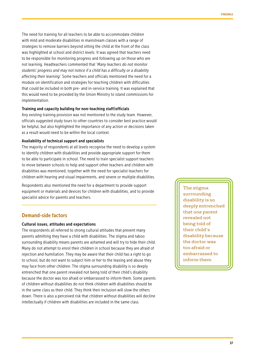The need for training for all teachers to be able to accommodate children with mild and moderate disabilities in mainstream classes with a range of strategies to remove barriers beyond sitting the child at the front of the class was highlighted at school and district levels. It was agreed that teachers need to be responsible for monitoring progress and following up on those who are not learning. Headteachers commented that '*Many teachers do not monitor students' progress and may not notice if a child has a difficulty or a disability affecting their learning*'. Some teachers and officials mentioned the need for a module on identification and strategies for teaching children with difficulties that could be included in both pre- and in-service training. It was explained that this would need to be provided by the Union Ministry to island commissions for implementation.

## Training and capacity building for non-teaching staff/officials

Any existing training provision was not mentioned to the study team. However, officials suggested study tours to other countries to consider best practice would be helpful, but also highlighted the importance of any action or decisions taken as a result would need to be within the local context.

## Availability of technical support and specialists

The majority of respondents at all levels recognise the need to develop a system to identify children with disabilities and provide appropriate support for them to be able to participate in school. The need to train specialist support teachers to move between schools to help and support other teachers and children with disabilities was mentioned, together with the need for specialist teachers for children with hearing and visual impairments, and severe or multiple disabilities.

Respondents also mentioned the need for a department to provide support equipment or materials and devices for children with disabilities, and to provide specialist advice for parents and teachers.

## Demand-side factors

### Cultural issues, attitudes and expectations

The respondents all referred to strong cultural attitudes that prevent many parents admitting they have a child with disabilities. The stigma and taboo surrounding disability means parents are ashamed and will try to hide their child. Many do not attempt to enrol their children in school because they are afraid of rejection and humiliation. They may be aware that their child has a right to go to school, but do not want to subject him or her to the teasing and abuse they may face from other children. The stigma surrounding disability is so deeply entrenched that one parent revealed not being told of their child's disability because the doctor was too afraid or embarrassed to inform them. Some parents of children without disabilities do not think children with disabilities should be in the same class as their child. They think their inclusion will slow the others down. There is also a perceived risk that children without disabilities will decline intellectually if children with disabilities are included in the same class.

The stigma surrounding disability is so deeply entrenched that one parent revealed not being told of their child's disability because the doctor was too afraid or embarrassed to inform them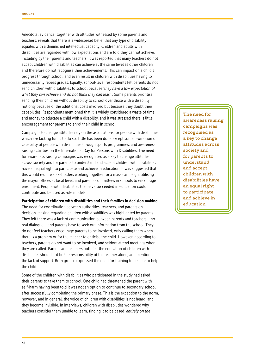Anecdotal evidence, together with attitudes witnessed by some parents and teachers, reveals that there is a widespread belief that any type of disability equates with a diminished intellectual capacity. Children and adults with disabilities are regarded with low expectations and are told they cannot achieve, including by their parents and teachers. It was reported that many teachers do not accept children with disabilities can achieve at the same level as other children and therefore do not recognise their achievements. This can impact on a child's progress through school, and even result in children with disabilities having to unnecessarily repeat grades. Equally, school-level respondents felt parents do not send children with disabilities to school because '*they have a low expectation of what they can achieve and do not think they can learn*'. Some parents prioritise sending their children without disability to school over those with a disability not only because of the additional costs involved but because they doubt their capabilities. Respondents mentioned that it is widely considered a waste of time and money to educate a child with a disability, and it was stressed there is little encouragement for parents to enrol their child in school.

Campaigns to change attitudes rely on the associations for people with disabilities which are lacking funds to do so. Little has been done except some promotion of capability of people with disabilities through sports programmes, and awareness raising activities on the International Day for Persons with Disabilities. The need for awareness raising campaigns was recognised as a key to change attitudes across society and for parents to understand and accept children with disabilities have an equal right to participate and achieve in education. It was suggested that this would require stakeholders working together for a mass campaign, utilising the mayor offices at local level, and parents committees in schools to encourage enrolment. People with disabilities that have succeeded in education could contribute and be used as role models.

## Participation of children with disabilities and their families in decision making

The need for coordination between authorities, teachers, and parents on decision-making regarding children with disabilities was highlighted by parents. They felt there was a lack of communication between parents and teachers – no real dialogue – and parents have to seek out information from the school. They do not feel teachers encourage parents to be involved, only calling them when there is a problem or for the teacher to criticise the child. However, according to teachers, parents do not want to be involved, and seldom attend meetings when they are called. Parents and teachers both felt the education of children with disabilities should not be the responsibility of the teacher alone, and mentioned the lack of support. Both groups expressed the need for training to be able to help the child.

Some of the children with disabilities who participated in the study had asked their parents to take them to school. One child had threatened the parent with self-harm having been told it was not an option to continue to secondary school after successfully completing the primary phase. This is the exception to the norm, however, and in general, the voice of children with disabilities is not heard, and they become invisible. In interviews, children with disabilities wondered why teachers consider them unable to learn, finding it to be based *'entirely on the* 

The need for awareness raising campaigns was recognised as a key to change attitudes across society and for parents to understand and accept children with disabilities have an equal right to participate and achieve in education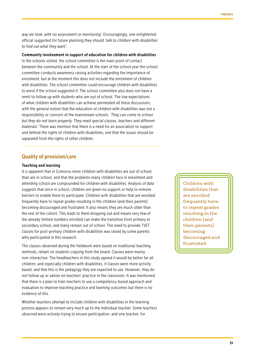*way we look, with no assessment or monitoring*'. Encouragingly, one enlightened official suggested for future planning they should '*talk to children with disabilities to find out what they want*'.

Community involvement in support of education for children with disabilities In the schools visited, the school committee is the main point of contact between the community and the school. At the start of the school year the school committee conducts awareness raising activities regarding the importance of enrolment, but at the moment this does not include the enrolment of children with disabilities. The school committee could encourage children with disabilities to enrol if the school suggested it. The school committee also does not have a remit to follow up with students who are out of school. The low expectations of what children with disabilities can achieve permeated all these discussions, with the general notion that the education of children with disabilities was not a responsibility or concern of the mainstream schools. '*They can come to school but they do not learn properly. They need special classes, teachers and different materials*.' There was mention that there is a need for an association to support and defend the rights of children with disabilities, and that the issues should be separated from the rights of other children.

## Quality of provision/care

## Teaching and learning

It is apparent that in Comoros more children with disabilities are out of school than are in school, and that the problems many children face in enrolment and attending school are compounded for children with disabilities. Analysis of data suggests that once in school, children are given no support or help to remove barriers to enable them to participate. Children with disabilities that are enrolled frequently have to repeat grades resulting in the children (and their parents) becoming discouraged and frustrated. It also means they are much older than the rest of the cohort. This leads to them dropping out and means very few of the already limited numbers enrolled can make the transition from primary to secondary school, and many remain out of school. The need to provide TVET classes for post-primary children with disabilities was raised by some parents who participated in this research.

The classes observed during the fieldwork were based on traditional teaching methods, reliant on students copying from the board. Classes were mainly non-interactive. The headteachers in this study agreed it would be better for all children, and especially children with disabilities, if classes were more activity based, and that this is the pedagogy they are expected to use. However, they do not follow up or advise on teachers' practice in the classroom. It was mentioned that there is a plan to train teachers to use a competency-based approach and evaluation to improve teaching practice and learning outcomes but there is no evidence of this.

Whether teachers attempt to include children with disabilities in the learning process appears to remain very much up to the individual teacher. Some teachers observed were actively trying to ensure participation, and one teacher, for

Children with disabilities that are enrolled frequently have to repeat grades resulting in the children (and their parents) becoming discouraged and frustrated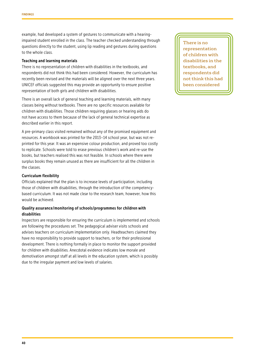example, had developed a system of gestures to communicate with a hearingimpaired student enrolled in the class. The teacher checked understanding through questions directly to the student, using lip reading and gestures during questions to the whole class.

## Teaching and learning materials

There is no representation of children with disabilities in the textbooks, and respondents did not think this had been considered. However, the curriculum has recently been revised and the materials will be aligned over the next three years. UNICEF officials suggested this may provide an opportunity to ensure positive representation of both girls and children with disabilities.

There is an overall lack of general teaching and learning materials, with many classes being without textbooks. There are no specific resources available for children with disabilities. Those children requiring glasses or hearing aids do not have access to them because of the lack of general technical expertise as described earlier in this report.

A pre-primary class visited remained without any of the promised equipment and resources. A workbook was printed for the 2013–14 school year, but was not reprinted for this year. It was an expensive colour production, and proved too costly to replicate. Schools were told to erase previous children's work and re-use the books, but teachers realised this was not feasible. In schools where there were surplus books they remain unused as there are insufficient for all the children in the classes.

## Curriculum flexibility

Officials explained that the plan is to increase levels of participation, including those of children with disabilities, through the introduction of the competencybased curriculum. It was not made clear to the research team, however, how this would be achieved.

## Quality assurance/monitoring of schools/programmes for children with disabilities

Inspectors are responsible for ensuring the curriculum is implemented and schools are following the procedures set. The pedagogical adviser visits schools and advises teachers on curriculum implementation only. Headteachers claimed they have no responsibility to provide support to teachers, or for their professional development. There is nothing formally in place to monitor the support provided for children with disabilities. Anecdotal evidence indicates low morale and demotivation amongst staff at all levels in the education system, which is possibly due to the irregular payment and low levels of salaries.

There is no representation of children with disabilities in the textbooks, and respondents did not think this had been considered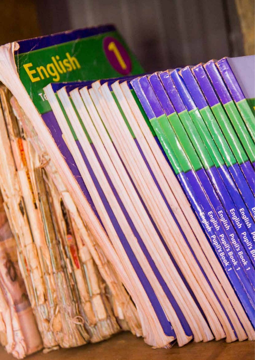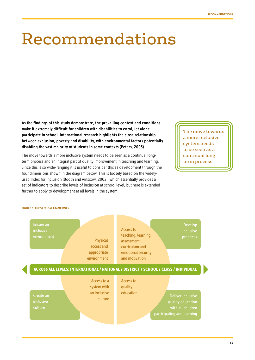## Recommendations

As the findings of this study demonstrate, the prevailing context and conditions make it extremely difficult for children with disabilities to enrol, let alone participate in school. International research highlights the close relationship between exclusion, poverty and disability, with environmental factors potentially disabling the vast majority of students in some contexts (Peters, 2003).

The move towards a more inclusive system needs to be seen as a continual longterm process and an integral part of quality improvement in teaching and learning. Since this is so wide-ranging it is useful to consider this as development through the four dimensions shown in the diagram below. This is loosely based on the widelyused Index for Inclusion (Booth and Ainscow, 2002), which essentially provides a set of indicators to describe levels of inclusion at school level, but here is extended further to apply to development at all levels in the system:

The move towards a more inclusive system needs to be seen as a continual longterm process



## FIGURE 3: THEORETICAL FRAMEWORK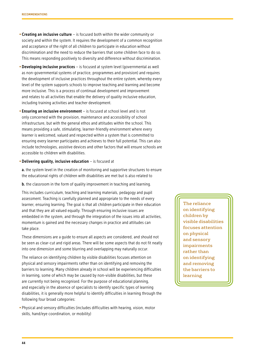- **•** Creating an inclusive culture is focused both within the wider community or society and within the system. It requires the development of a common recognition and acceptance of the right of all children to participate in education without discrimination and the need to reduce the barriers that some children face to do so. This means responding positively to diversity and difference without discrimination.
- **•** Developing inclusive practices is focused at system level (governmental as well as non-governmental systems of practice, programmes and provision) and requires the development of inclusive practices throughout the entire system, whereby every level of the system supports schools to improve teaching and learning and become more inclusive. This is a process of continual development and improvement and relates to all activities that enable the delivery of quality inclusive education, including training activities and teacher development.
- **•** Ensuring an inclusive environment is focused at school level and is not only concerned with the provision, maintenance and accessibility of school infrastructure, but with the general ethos and attitudes within the school. This means providing a safe, stimulating, learner-friendly environment where every learner is welcomed, valued and respected within a system that is committed to ensuring every learner participates and achieves to their full potential. This can also include technologies, assistive devices and other factors that will ensure schools are accessible to children with disabilities.
- **•** Delivering quality, inclusive education is focused at

a. the system level in the creation of monitoring and supportive structures to ensure the educational rights of children with disabilities are met but is also related to

**b.** the classroom in the form of quality improvement in teaching and learning.

This includes curriculum, teaching and learning materials, pedagogy and pupil assessment. Teaching is carefully planned and appropriate to the needs of every learner, ensuring learning. The goal is that all children participate in their education and that they are all valued equally. Through ensuring inclusive issues are embedded in the system, and through the integration of the issues into all activities, momentum is gained and the necessary changes in practice and attitudes can take place.

These dimensions are a guide to ensure all aspects are considered, and should not be seen as clear-cut and rigid areas. There will be some aspects that do not fit neatly into one dimension and some blurring and overlapping may naturally occur.

The reliance on identifying children by visible disabilities focuses attention on physical and sensory impairments rather than on identifying and removing the barriers to learning. Many children already in school will be experiencing difficulties in learning, some of which may be caused by non-visible disabilities, but these are currently not being recognised. For the purpose of educational planning, and especially in the absence of specialists to identify specific types of learning disabilities, it is generally more helpful to identify difficulties in learning through the following four broad categories:

**•** Physical and sensory difficulties (includes difficulties with hearing, vision, motor skills, hand/eye coordination, or mobility)

The reliance on identifying children by visible disabilities focuses attention on physical and sensory impairments rather than on identifying and removing the barriers to learning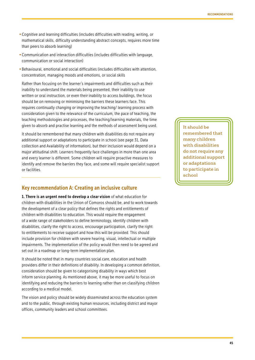- **•** Cognitive and learning difficulties (includes difficulties with reading, writing, or mathematical skills, difficulty understanding abstract concepts, requires more time than peers to absorb learning)
- **•** Communication and interaction difficulties (includes difficulties with language, communication or social interaction)
- **•** Behavioural, emotional and social difficulties (includes difficulties with attention, concentration, managing moods and emotions, or social skills

Rather than focusing on the learner's impairments and difficulties such as their inability to understand the materials being presented, their inability to use written or oral instruction, or even their inability to access buildings, the focus should be on removing or minimising the barriers these learners face. This requires continually changing or improving the teaching/ learning process with consideration given to the relevance of the curriculum, the pace of teaching, the teaching methodologies and processes, the teaching/learning materials, the time given to absorb and practise learning and the methods of assessment being used.

It should be remembered that many children with disabilities do not require any additional support or adaptations to participate in school (see page 31, Data collection and Availability of information), but their inclusion would depend on a major attitudinal shift. Learners frequently face challenges in more than one area and every learner is different. Some children will require proactive measures to identify and remove the barriers they face, and some will require specialist support or facilities.

## Key recommendation A: Creating an inclusive culture

1. There is an urgent need to develop a clear vision of what education for children with disabilities in the Union of Comoros should be, and to work towards the development of a clear policy that defines the rights and entitlements of children with disabilities to education. This would require the engagement of a wide range of stakeholders to define terminology, identify children with disabilities, clarify the right to access, encourage participation, clarify the right to entitlements to receive support and how this will be provided. This should include provision for children with severe hearing, visual, intellectual or multiple impairments. The implementation of the policy would then need to be agreed and set out in a roadmap or long-term implementation plan.

It should be noted that in many countries social care, education and health providers differ in their definitions of disability. In developing a common definition, consideration should be given to categorising disability in ways which best inform service planning. As mentioned above, it may be more useful to focus on identifying and reducing the barriers to learning rather than on classifying children according to a medical model.

The vision and policy should be widely disseminated across the education system and to the public, through existing human resources, including district and mayor offices, community leaders and school committees.

It should be remembered that many children with disabilities do not require any additional support or adaptations to participate in school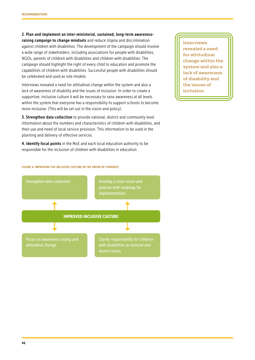2. Plan and implement an inter-ministerial, sustained, long-term awarenessraising campaign to change mindsets and reduce stigma and discrimination

against children with disabilities. The development of the campaign should involve a wide range of stakeholders, including associations for people with disabilities, NGOs, parents of children with disabilities and children with disabilities. The campaign should highlight the right of every child to education and promote the capabilities of children with disabilities. Successful people with disabilities should be celebrated and used as role models.

Interviews revealed a need for attitudinal change within the system and also a lack of awareness of disability and the issues of inclusion. In order to create a supportive, inclusive culture it will be necessary to raise awareness at all levels within the system that everyone has a responsibility to support schools to become more inclusive. (This will be set out in the vision and policy).

3. Strengthen data collection to provide national, district and community level information about the numbers and characteristics of children with disabilities, and their use and need of local service provision. This information to be used in the planning and delivery of effective services.

4. Identify focal points in the MoE and each local education authority to be responsible for the inclusion of children with disabilities in education.

Interviews revealed a need for attitudinal change within the system and also a lack of awareness of disability and the issues of inclusion

FIGURE 4: IMPROVING THE INCLUSIVE CULTURE IN THE UNION OF COMOROS

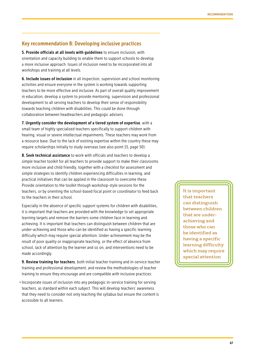## Key recommendation B: Developing inclusive practices

5. Provide officials at all levels with guidelines to ensure inclusion, with orientation and capacity building to enable them to support schools to develop a more inclusive approach. Issues of inclusion need to be incorporated into all workshops and training at all levels.

6. Include issues of inclusion in all inspection, supervision and school monitoring activities and ensure everyone in the system is working towards supporting teachers to be more effective and inclusive. As part of overall quality improvement in education, develop a system to provide mentoring, supervision and professional development to all serving teachers to develop their sense of responsibility towards teaching children with disabilities. This could be done through collaboration between headteachers and pedagogic advisers.

7. Urgently consider the development of a tiered system of expertise, with a small team of highly specialised teachers specifically to support children with hearing, visual or severe intellectual impairments. These teachers may work from a resource base. Due to the lack of existing expertise within the country these may require scholarships initially to study overseas (see also point 15, page 50).

8. Seek technical assistance to work with officials and teachers to develop a simple teacher toolkit for all teachers to provide support to make their classrooms more inclusive and child friendly, together with a checklist for assessment and simple strategies to identify children experiencing difficulties in learning, and practical initiatives that can be applied in the classroom to overcome these. Provide orientation to the toolkit through workshop-style sessions for the teachers, or by orienting the school-based focal point or coordinator to feed back to the teachers in their school.

Especially in the absence of specific support systems for children with disabilities, it is important that teachers are provided with the knowledge to set appropriate learning targets and remove the barriers some children face in learning and achieving. It is important that teachers can distinguish between children that are under-achieving and those who can be identified as having a specific learning difficulty which may require special attention. Under-achievement may be the result of poor quality or inappropriate teaching, or the effect of absence from school, lack of attention by the learner and so on, and interventions need to be made accordingly.

9. Review training for teachers, both initial teacher training and in-service teacher training and professional development, and review the methodologies of teacher training to ensure they encourage and are compatible with inclusive practices:

**•** Incorporate issues of inclusion into any pedagogic in-service training for serving teachers, as standard within each subject. This will develop teachers' awareness that they need to consider not only teaching the syllabus but ensure the content is accessible to all learners.

It is important that teachers can distinguish between children that are underachieving and those who can be identified as having a specific learning difficulty which may require special attention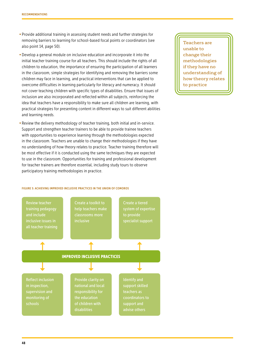- **•** Provide additional training in assessing student needs and further strategies for removing barriers to learning for school-based focal points or coordinators (see also point 14, page 50).
- **•** Develop a general module on inclusive education and incorporate it into the initial teacher training course for all teachers. This should include the rights of all children to education, the importance of ensuring the participation of all learners in the classroom, simple strategies for identifying and removing the barriers some children may face in learning, and practical interventions that can be applied to overcome difficulties in learning particularly for literacy and numeracy. It should not cover teaching children with specific types of disabilities. Ensure that issues of inclusion are also incorporated and reflected within all subjects, reinforcing the idea that teachers have a responsibility to make sure all children are learning, with practical strategies for presenting content in different ways to suit different abilities and learning needs.
- **•** Review the delivery methodology of teacher training, both initial and in-service. Support and strengthen teacher trainers to be able to provide trainee teachers with opportunities to experience learning through the methodologies expected in the classroom. Teachers are unable to change their methodologies if they have no understanding of how theory relates to practice. Teacher training therefore will be most effective if it is conducted using the same techniques they are expected to use in the classroom. Opportunities for training and professional development for teacher trainers are therefore essential, including study tours to observe participatory training methodologies in practice.

#### FIGURE 5: ACHIEVING IMPROVED INCLUSIVE PRACTICES IN THE UNION OF COMOROS



Teachers are unable to change their methodologies if they have no understanding of how theory relates to practice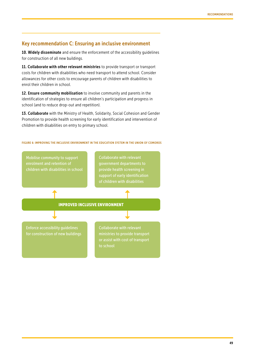## Key recommendation C: Ensuring an inclusive environment

10. Widely disseminate and ensure the enforcement of the accessibility quidelines for construction of all new buildings.

11. Collaborate with other relevant ministries to provide transport or transport costs for children with disabilities who need transport to attend school. Consider allowances for other costs to encourage parents of children with disabilities to enrol their children in school.

12. Ensure community mobilisation to involve community and parents in the identification of strategies to ensure all children's participation and progress in school (and to reduce drop-out and repetition).

13. Collaborate with the Ministry of Health, Solidarity, Social Cohesion and Gender Promotion to provide health screening for early identification and intervention of children with disabilities on entry to primary school.



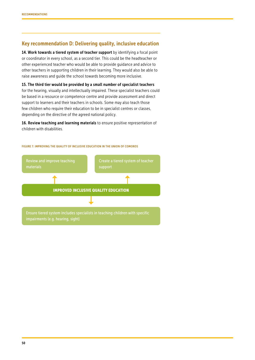## Key recommendation D: Delivering quality, inclusive education

14. Work towards a tiered system of teacher support by identifying a focal point or coordinator in every school, as a second tier. This could be the headteacher or other experienced teacher who would be able to provide guidance and advice to other teachers in supporting children in their learning. They would also be able to raise awareness and guide the school towards becoming more inclusive.

15. The third tier would be provided by a small number of specialist teachers for the hearing, visually and intellectually impaired. These specialist teachers could be based in a resource or competence centre and provide assessment and direct support to learners and their teachers in schools. Some may also teach those few children who require their education to be in specialist centres or classes, depending on the directive of the agreed national policy.

16. Review teaching and learning materials to ensure positive representation of children with disabilities.



#### FIGURE 7: IMPROVING THE QUALITY OF INCLUSIVE EDUCATION IN THE UNION OF COMOROS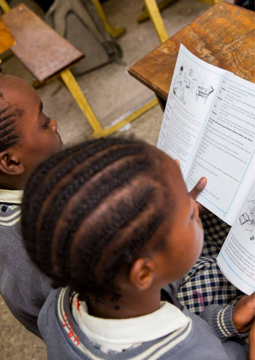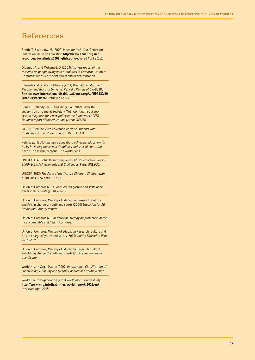## References

Booth, T. & Ainscow, M. (2002) *Index for Inclusion*, Centre for Studies on Inclusive Education http://www.eenet.org.uk/ resources/docs/Index%20English.pdf (retrieved April 2015).

Djoumoi, A. and Mohamed, D. (2003) *Analysis report of the research on people living with disabilities in Comoros*. Union of Comoros: Ministry of social affairs and decentralization.

International Disability Alliance (2014) *Disability Analysis and Recommendations of Universal Periodic Review of CRPD*, 18th Session www.internationaldisabilityalliance.org/.../UPR18%20 Disability%20anal (retrieved April 2015).

Kouak, B., Mahdjoub, R. and Mingat, A. (2012) under the supervision of General Secretary MoE, *Comorian education system diagnosis for a new policy in the framework of EFA, National report of the education system (RESEN)* .

OECD (1999) *Inclusive education at work: Students with disabilities in mainstream schools*, Paris: OECD.

Peters, S.J. (2003) *Inclusive education: achieving Education for All by including those with disabilities and special education needs*. The disability group, The World Bank.

UNESCO EFA Global Monitoring Report (2015) *Education for All 2000–2015: Achievements and Challenges*. Paris: UNESCO.

UNICEF (2013) *The State of the World's Children: Children with disabilities*. New York: UNICEF.

Union of Comoros (2014) *Accelerated growth and sustainable development strategy 2015–2019* .

Union of Comoros, Ministry of Education, Research, Culture and Arts in charge of youth and sports (2000) *Education for All Evaluation Country Report* .

Union of Comoros (2004) *National Strategy on protection of the most vulnerable children in Comoros* .

Union of Comoros, Ministry of Education Research, Culture and Arts in charge of youth and sports (2013) *Interim Education Plan 2013–2015*.

Union of Comoros, Ministry of Education Research, Culture and Arts in charge of youth and sports (2014) *Direction de la planification*.

World Health Organisation (2007) *International Classification of Functioning, Disability and Health: Children and Youth Version*.

World Health Organisation (2011) *World report on disability*. http://www.who.int/disabilities/world\_report/2011/en/ (retrieved April 2015).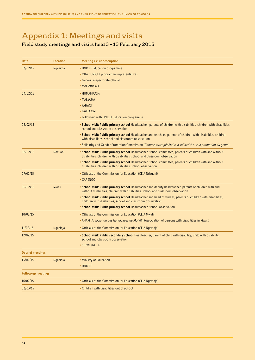## Appendix 1: Meetings and visits

## Field study meetings and visits held 3 – 13 February 2015

| <b>Date</b>               | <b>Location</b> | Meeting / visit description                                                                                                                                                                  |
|---------------------------|-----------------|----------------------------------------------------------------------------------------------------------------------------------------------------------------------------------------------|
| 03/02/15                  | Ngazidja        | • UNICEF Education programme                                                                                                                                                                 |
|                           |                 | • Other UNICEF programme representatives                                                                                                                                                     |
|                           |                 | • General inspectorate official                                                                                                                                                              |
|                           |                 | • MoE officials                                                                                                                                                                              |
| 04/02/15                  |                 | • HUMANICOM                                                                                                                                                                                  |
|                           |                 | $\bullet$ MAEECHA                                                                                                                                                                            |
|                           |                 | $\bullet$ FAHACT                                                                                                                                                                             |
|                           |                 | • FAWECOM                                                                                                                                                                                    |
|                           |                 | • Follow-up with UNICEF Education programme                                                                                                                                                  |
| 05/02/15                  |                 | . School visit: Public primary school Headteacher, parents of children with disabilities, children with disabilities,<br>school and classroom observation                                    |
|                           |                 | . School visit: Public primary school Headteacher and teachers, parents of children with disabilities, children<br>with disabilities, school and classroom observation                       |
|                           |                 | • Solidarity and Gender Promotion Commission (Commissariat général à la solidarité et à la promotion du genre)                                                                               |
| 06/02/15                  | Ndzuani         | . School visit: Public primary school Headteacher, school committee, parents of children with and without<br>disabilities, children with disabilities, school and classroom observation      |
|                           |                 | . School visit: Public primary school Headteacher, school committee, parents of children with and without<br>disabilities, children with disabilities, school observation                    |
| 07/02/15                  |                 | • Officials of the Commission for Education (CEIA Ndzuani)                                                                                                                                   |
|                           |                 | $\cdot$ CAP (NGO)                                                                                                                                                                            |
| 09/02/15                  | Mwali           | . School visit: Public primary school Headteacher and deputy headteacher, parents of children with and<br>without disabilities, children with disabilities, school and classroom observation |
|                           |                 | . School visit: Public primary school Headteacher and head of studies, parents of children with disabilities,<br>children with disabilities, school and classroom observation                |
|                           |                 | • School visit: Public primary school Headteacher, school observation                                                                                                                        |
| 10/02/15                  |                 | • Officials of the Commission for Education (CEIA Mwali)                                                                                                                                     |
|                           |                 | • AHAM (Association des Handicapés de Mohéli) (Association of persons with disabilities in Mwali)                                                                                            |
| 11/02/15                  | Ngazidja        | • Officials of the Commission for Education (CEIA Ngazidja)                                                                                                                                  |
| 12/02/15                  |                 | . School visit: Public secondary school Headteacher, parent of child with disability, child with disability,<br>school and classroom observation                                             |
|                           |                 | • SHIWE (NGO)                                                                                                                                                                                |
| <b>Debrief meetings</b>   |                 |                                                                                                                                                                                              |
| 13/02/15                  | Ngazidja        | • Ministry of Education                                                                                                                                                                      |
|                           |                 | • UNICEF                                                                                                                                                                                     |
| <b>Follow-up meetings</b> |                 |                                                                                                                                                                                              |
| 16/02/15                  |                 | • Officials of the Commission for Education (CEIA Ngazidja)                                                                                                                                  |
| 03/03/15                  |                 | • Children with disabilities out of school                                                                                                                                                   |
|                           |                 |                                                                                                                                                                                              |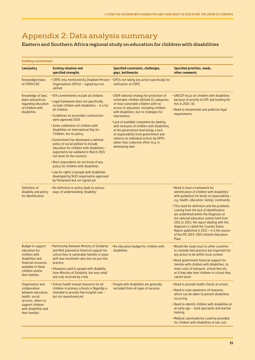## Appendix 2: Data analysis summary

## Eastern and Southern Africa regional study on education for children with disabilities

### Enabling environment

| Law/policy                                                                                                                                  | <b>Existing situation and</b><br>specified strengths                                                                                                                                              | Specified constraints, challenges,<br>gaps, bottlenecks                                                                                                                                                                                                                                                                                                                                                                                                                                                                      | Specified priorities, needs,<br>other comments                                                                                                                                                                                                                                                                                                                           |
|---------------------------------------------------------------------------------------------------------------------------------------------|---------------------------------------------------------------------------------------------------------------------------------------------------------------------------------------------------|------------------------------------------------------------------------------------------------------------------------------------------------------------------------------------------------------------------------------------------------------------------------------------------------------------------------------------------------------------------------------------------------------------------------------------------------------------------------------------------------------------------------------|--------------------------------------------------------------------------------------------------------------------------------------------------------------------------------------------------------------------------------------------------------------------------------------------------------------------------------------------------------------------------|
| Knowledge/status<br>of CRPD/CRC                                                                                                             | Organisations (DPOs) - signed but not<br>ratified                                                                                                                                                 | • CRPD only mentioned by Disabled Persons' • DPOs not taking any action specifically for<br>ratification of CRPD.                                                                                                                                                                                                                                                                                                                                                                                                            |                                                                                                                                                                                                                                                                                                                                                                          |
| Knowledge of laws,<br>plans and policies<br>regarding education<br>of children with<br>disabilities                                         | • EFA commitments include all children.                                                                                                                                                           | •2004 national strategy for protection of<br>vulnerable children defined 12 categories<br>of most vulnerable children with no<br>access to education, including children<br>with disabilities, but no strategies for<br>intervention.<br>• Lack of available competencies dealing<br>with inclusion of children with disabilities.<br>at the government level brings a lack<br>of responsibility from government and<br>reliance on individual actions by DPOs<br>rather than collective effort (e.g. in<br>developing law). | • UNICEF focus on children with disabilities                                                                                                                                                                                                                                                                                                                             |
|                                                                                                                                             | . Legal framework does not specifically<br>include children with disabilities - it is for<br>all children.                                                                                        |                                                                                                                                                                                                                                                                                                                                                                                                                                                                                                                              | because of priority of GPE and funding for<br>this in 2015-16.<br>• Need to disseminate and publicise legal                                                                                                                                                                                                                                                              |
|                                                                                                                                             | • Guidelines on accessible construction<br>were approved 2014.                                                                                                                                    |                                                                                                                                                                                                                                                                                                                                                                                                                                                                                                                              | requirements.                                                                                                                                                                                                                                                                                                                                                            |
|                                                                                                                                             | • Some celebration of children with<br>disabilities on International Day for<br>Children, but no policy.                                                                                          |                                                                                                                                                                                                                                                                                                                                                                                                                                                                                                                              |                                                                                                                                                                                                                                                                                                                                                                          |
|                                                                                                                                             | • Government has developed a national<br>policy of social welfare to include<br>education for children with disabilities -<br>expected to be validated in March 2015:<br>not done for the moment. |                                                                                                                                                                                                                                                                                                                                                                                                                                                                                                                              |                                                                                                                                                                                                                                                                                                                                                                          |
|                                                                                                                                             | • Most respondents do not know of any<br>policy for children with disabilities.                                                                                                                   |                                                                                                                                                                                                                                                                                                                                                                                                                                                                                                                              |                                                                                                                                                                                                                                                                                                                                                                          |
|                                                                                                                                             | • Law for rights of people with disabilities<br>developed by NGO organisation approved<br>by Parliament but not signed yet.                                                                       |                                                                                                                                                                                                                                                                                                                                                                                                                                                                                                                              |                                                                                                                                                                                                                                                                                                                                                                          |
| Definition of<br>disability and policy<br>for identification                                                                                | . No definition or policy leads to various<br>ways of understanding 'disability'.                                                                                                                 |                                                                                                                                                                                                                                                                                                                                                                                                                                                                                                                              | • Need to have a framework for<br>identification of children with disabilities<br>with guidelines for levels of responsibility -<br>e.g. health, education, family/ community.                                                                                                                                                                                           |
|                                                                                                                                             |                                                                                                                                                                                                   |                                                                                                                                                                                                                                                                                                                                                                                                                                                                                                                              | . This need for definition and the problems<br>coming from the lack of identification<br>are underlined within the Diagnosis of<br>the national education system held from<br>2011 to 2012; the report dealing with this<br>diagnosis is called the Country Status<br>Report published in $2012 = it$ is the source<br>of the PIE 2013-2015 (Interim Education<br>Plan). |
| <b>Budget to support</b><br>education for<br>children with                                                                                  | • Partnership between Ministry of Solidarity<br>and MoE planned to financial support for<br>school fees to vulnerable families in areas                                                           | . No education budget for children with<br>disabilities.                                                                                                                                                                                                                                                                                                                                                                                                                                                                     | . Would like study tours to other countries<br>to consider best practice but important for<br>any action to be within local context.                                                                                                                                                                                                                                     |
| disabilities and<br>financial resources                                                                                                     | with low enrolment rates but not put into<br>practice.                                                                                                                                            |                                                                                                                                                                                                                                                                                                                                                                                                                                                                                                                              | • Need government financial support for                                                                                                                                                                                                                                                                                                                                  |
| available to these<br>children and/or<br>their families                                                                                     | • Allowance paid to people with disability<br>from Ministry of Solidarity, but very small<br>and only received by a few.                                                                          |                                                                                                                                                                                                                                                                                                                                                                                                                                                                                                                              | families with children with disabilities, to<br>meet costs of transport, school fees etc,<br>as if they take their children to school they<br>cannot work.                                                                                                                                                                                                               |
| Organisation and                                                                                                                            | • School health mutual insurance for all                                                                                                                                                          | • People with disabilities are generally<br>excluded from all types of services.                                                                                                                                                                                                                                                                                                                                                                                                                                             | . Need to provide health checks at school.                                                                                                                                                                                                                                                                                                                               |
| collaboration<br>between education.<br>health, social<br>services, others to<br>support children<br>with disabilities and<br>their families | children in primary schools in Ngazidja is<br>intended to provide free hospital care -<br>but not operational yet.                                                                                |                                                                                                                                                                                                                                                                                                                                                                                                                                                                                                                              | • Need to raise awareness of measures<br>which can be taken to prevent disabilities<br>occurring.                                                                                                                                                                                                                                                                        |
|                                                                                                                                             |                                                                                                                                                                                                   |                                                                                                                                                                                                                                                                                                                                                                                                                                                                                                                              | . Need to identify children with disabilities at<br>an early age - need specialists and teacher<br>training.                                                                                                                                                                                                                                                             |
|                                                                                                                                             |                                                                                                                                                                                                   |                                                                                                                                                                                                                                                                                                                                                                                                                                                                                                                              | • Medical care/medicine could be provided<br>for children with disabilities at low cost.                                                                                                                                                                                                                                                                                 |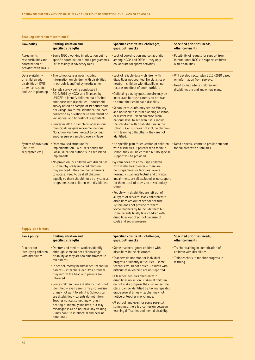| <b>Enabling environment (continued)</b>                                                                    |                                                                                                                                                                                                                                                                                                                                                                                                                                                                                                                                                                     |                                                                                                                                                                                                                                                                                                                                                                                                                                                                                                                                                                                       |                                                                                                                                                        |
|------------------------------------------------------------------------------------------------------------|---------------------------------------------------------------------------------------------------------------------------------------------------------------------------------------------------------------------------------------------------------------------------------------------------------------------------------------------------------------------------------------------------------------------------------------------------------------------------------------------------------------------------------------------------------------------|---------------------------------------------------------------------------------------------------------------------------------------------------------------------------------------------------------------------------------------------------------------------------------------------------------------------------------------------------------------------------------------------------------------------------------------------------------------------------------------------------------------------------------------------------------------------------------------|--------------------------------------------------------------------------------------------------------------------------------------------------------|
| Law/policy                                                                                                 | <b>Existing situation and</b><br>specified strengths                                                                                                                                                                                                                                                                                                                                                                                                                                                                                                                | Specified constraints, challenges,<br>gaps, bottlenecks                                                                                                                                                                                                                                                                                                                                                                                                                                                                                                                               | Specified priorities, needs,<br>other comments                                                                                                         |
| Agreements,<br>responsibilities and<br>coordination of<br>activities with NGOs                             | • Some NGOs working in education but no<br>specific coordination of their programmes.<br>DPOs mainly in advocacy roles.                                                                                                                                                                                                                                                                                                                                                                                                                                             | • Lack of coordination and collaboration<br>among NGOs and DPOs - they only<br>collaborate for sports activities.                                                                                                                                                                                                                                                                                                                                                                                                                                                                     | . Possibility of request for support from<br>international NGOs to support children<br>with disabilities.                                              |
| Data availability<br>on children with<br>disabilities - EMIS,<br>other (census etc)<br>and use in planning | • The school census now includes<br>information on children with disabilities<br>in schools identified by headteacher.<br>• Sample survey being conducted in<br>2014/2015 by NGOs and financed by<br>UNICEF to identify children out of school<br>and those with disabilities - household<br>survey based on sample of 19 households<br>per village. No formal identification, data<br>collection by questionnaire and reliant on<br>willingness and honesty of respondents.<br>• Survey in 2013 in sample villages in four<br>municipalities gave recommendations. | • Lack of reliable data - children with<br>disabilities not counted. No statistics on<br>newborn children with disabilities; no<br>records on effect of poor nutrition.<br>• Collecting data by questionnaire may be<br>inaccurate because parents do not want<br>to admit their child has a disability.<br>• School census info only sent to Ministry<br>and not used to inform planning at school<br>or district level. Need direction from<br>national level to act even if it is known<br>that children with disabilities are in the<br>schools. Census does not include children | . Will develop sector plan 2016-2018 based<br>on information from surveys.<br>. Need to map where children with<br>disabilities are and know how many. |
| System of provision<br>(inclusive,<br>segregated etc.)                                                     | No action was taken except to conduct<br>another survey sampling every village.<br>• Decentralised structure for<br>implementation - MoE sets policy and<br>Local Education Authority in each island<br>implements.                                                                                                                                                                                                                                                                                                                                                 | with learning difficulties - they are not<br>identified.<br>. No specific plan for education of children<br>with disabilities. If parents send them to<br>school they will be enrolled but no special<br>support will be provided.                                                                                                                                                                                                                                                                                                                                                    | • Need a special centre to provide support<br>for children with disabilities.                                                                          |
|                                                                                                            | . No provision for children with disabilities<br>- some physically impaired children<br>may succeed if they overcome barriers<br>to access. Need to treat all children<br>equally so there should not be any special<br>programmes for children with disabilities.                                                                                                                                                                                                                                                                                                  | · System does not encourage children<br>with disabilities to enter - there are<br>no programmes or facilities. Severe<br>hearing, visual, intellectual and physical<br>impairments are all excluded as no support<br>for them. Lack of provision at secondary<br>school.                                                                                                                                                                                                                                                                                                              |                                                                                                                                                        |
|                                                                                                            |                                                                                                                                                                                                                                                                                                                                                                                                                                                                                                                                                                     | . People with disabilities are left out of<br>all types of services. Many children with<br>disabilities are out of school because<br>system does not provide for them.<br>Some teachers try to include them but<br>some parents finally take children with<br>disabilities out of school because of<br>costs and social pressure.                                                                                                                                                                                                                                                     |                                                                                                                                                        |

## Supply-side factors

| Law / policy                                              | <b>Existing situation and</b><br>specified strengths                                                                                                                                                                                                                                                                                                                     | Specified constraints, challenges,<br>gaps, bottlenecks                                                                                                                                                                                                                                                                                                    | Specified priorities, needs,<br>other comments                                                                    |
|-----------------------------------------------------------|--------------------------------------------------------------------------------------------------------------------------------------------------------------------------------------------------------------------------------------------------------------------------------------------------------------------------------------------------------------------------|------------------------------------------------------------------------------------------------------------------------------------------------------------------------------------------------------------------------------------------------------------------------------------------------------------------------------------------------------------|-------------------------------------------------------------------------------------------------------------------|
| Practice for<br>identifying children<br>with disabilities | • Doctors and medical workers identify,<br>although some do not acknowledge<br>disability as they are too embarrassed to<br>tell parents.<br>• In school, mostly headteacher, teacher or<br>parents – if teachers identify a problem<br>they inform the head and parents are<br>informed.                                                                                | • Some teachers ignore children with<br>disabilities in the classroom.<br>• Teachers do not monitor individual<br>progress or identify difficulties - some<br>learning.<br>teachers would not notice. Children with<br>difficulties in learning are not reported.<br>• If teacher identifies children with<br>disabilities no action is taken. If children | • Teacher training in identification of<br>children with disabilities.<br>• Train teachers to monitor progress in |
|                                                           | • Some children have a disability that is not<br>identified - even parents may not realise<br>or may not want to admit it. Schools can<br>see disabilities - parents do not inform.<br>Teacher notices something wrong if<br>hearing or mentally impaired, but may<br>misdiagnose as do not have any training<br>- may confuse intellectual and hearing<br>difficulties. | do not make progress they just repeat the<br>class. Can be identified by having repeated<br>grade several times - teacher may not<br>notice or teacher may change.<br>• At school (and even for some parents),<br>sometimes, there is a confusion between<br>learning difficulties and mental disability.                                                  |                                                                                                                   |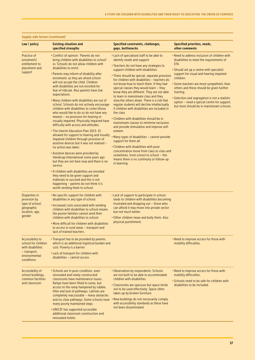<u>supply-side factors (continued)</u>

| Law / policy                                                                                                | <b>Existing situation and</b><br>specified strengths                                                                                                                                                                                                                                                                                                                                                                                                                                                                                                                                                                                                                                                                                                                                                                                                                                                                                                                                                                                                                                                                                                                                                                                                                      | Specified constraints, challenges,<br>gaps, bottlenecks                                                                                                                                                                                                                                                                                                                                                                                                                                                                                                                                                                                                                                                                                                                                                                                                                                                                                                                                                                           | Specified priorities, needs,<br>other comments                                                                                                                                                                                                                                                                                                                                                                                                           |
|-------------------------------------------------------------------------------------------------------------|---------------------------------------------------------------------------------------------------------------------------------------------------------------------------------------------------------------------------------------------------------------------------------------------------------------------------------------------------------------------------------------------------------------------------------------------------------------------------------------------------------------------------------------------------------------------------------------------------------------------------------------------------------------------------------------------------------------------------------------------------------------------------------------------------------------------------------------------------------------------------------------------------------------------------------------------------------------------------------------------------------------------------------------------------------------------------------------------------------------------------------------------------------------------------------------------------------------------------------------------------------------------------|-----------------------------------------------------------------------------------------------------------------------------------------------------------------------------------------------------------------------------------------------------------------------------------------------------------------------------------------------------------------------------------------------------------------------------------------------------------------------------------------------------------------------------------------------------------------------------------------------------------------------------------------------------------------------------------------------------------------------------------------------------------------------------------------------------------------------------------------------------------------------------------------------------------------------------------------------------------------------------------------------------------------------------------|----------------------------------------------------------------------------------------------------------------------------------------------------------------------------------------------------------------------------------------------------------------------------------------------------------------------------------------------------------------------------------------------------------------------------------------------------------|
| Practice of<br>enrolment/<br>entitlement to<br>placement and<br>support                                     | • Conflict of opinion: 'Parents do not<br>bring children with disabilities to school'<br>vs 'Schools do not allow children with<br>disabilities to enrol.<br>• Parents may inform of disability after<br>enrolment, as they are afraid school<br>will not accept the child. Children<br>with disabilities are not enrolled for<br>fear of ridicule. Also parents have low<br>expectations.<br>. Many children with disabilities are out of<br>school. Schools do not actively encourage<br>children with disabilities to come (those<br>who would like to do so do not have any<br>means) - no provision for hearing or<br>visually impaired. Physically impaired have<br>difficulty with access and attitudes.<br>. The Interim Education Plan 2013-15<br>allowed for support to hearing and visually<br>impaired children through provision of<br>assistive devices but it was not realised -<br>no action was taken.<br>• Assistive devices were provided by<br>Handicap International some years ago<br>but they are not here now and there is no<br>service.<br>. If children with disabilities are enrolled<br>they need to be given support and<br>materials to succeed and this is not<br>happening - parents do not think it is<br>worth sending them to school. | • Lack of specialised staff to be able to<br>identify needs and support.<br>• Teachers do not have any strategies to<br>support children with disabilities.<br>• There should be special, separate provision<br>for children with disabilities - teachers do<br>not know how to teach them. If they had<br>special classes they would learn - they<br>know they are different. They are not able<br>to learn in mainstream class and they<br>slow the others down. There is a risk that<br>regular students will decline intellectually<br>if children with disabilities are included in<br>the class.<br>• Children with disabilities should be in<br>mainstream classes to minimise exclusion<br>and provide stimulation and improve self-<br>esteem.<br>• Many types of disabilities – cannot provide<br>support for them all.<br>• Children with disabilities with poor<br>concentration move from class to class and<br>sometimes, from school to school – this<br>means there is no continuity or follow-up<br>in learning. | • Need to address inclusion of children with<br>disabilities to meet the requirements of<br>EFA.<br>• Should set up a centre with specialist<br>support for visual and hearing impaired<br>children.<br>• Some teachers are more sympathetic than<br>others and these should be given further<br>training.<br>• Selection and segregation is not a realistic<br>option - need a special centre for support,<br>but most should be in mainstream schools. |
| <b>Disparities in</b><br>provision by<br>type of school,<br>geographic<br>location, age,<br>gender          | . No specific support for children with<br>disabilities in any type of school.<br>• Increased costs associated with sending<br>children with disabilities to school means<br>the poorer families cannot send their<br>children with disabilities to school.<br>• More difficult for children with disabilities<br>to access in rural areas – transport and<br>lack of trained teachers.                                                                                                                                                                                                                                                                                                                                                                                                                                                                                                                                                                                                                                                                                                                                                                                                                                                                                   | • Lack of support to participate in school<br>leads to children with disabilities becoming<br>frustrated and dropping out - those who<br>can afford it may move into private sector<br>but not much better.<br>• Other children tease and bully them. Also<br>physical punishment.                                                                                                                                                                                                                                                                                                                                                                                                                                                                                                                                                                                                                                                                                                                                                |                                                                                                                                                                                                                                                                                                                                                                                                                                                          |
| Accessibility to<br>school for children<br>with disabilities<br>– transport,<br>environmental<br>conditions | • Transport has to be provided by parents<br>which is an additional logistical burden and<br>cost. Poverty is a barrier.<br>. Lack of transport for children with<br>disabilities - cannot access.                                                                                                                                                                                                                                                                                                                                                                                                                                                                                                                                                                                                                                                                                                                                                                                                                                                                                                                                                                                                                                                                        |                                                                                                                                                                                                                                                                                                                                                                                                                                                                                                                                                                                                                                                                                                                                                                                                                                                                                                                                                                                                                                   | • Need to improve access for those with<br>mobility difficulties.                                                                                                                                                                                                                                                                                                                                                                                        |
| Accessibility of<br>school buildings,<br>common facilities<br>and classroom                                 | • Schools are in poor condition, even<br>renovated and newly constructed<br>classrooms have maintenance issues.<br>Ramps have been fitted to some, but<br>access to the ramp hampered by rubble,<br>litter and lack of pathways. Latrines are<br>completely inaccessible - many obstacles<br>and no clear pathways. Some schools have<br>many poorly maintained steps.<br>. UNICEF has supported accessible<br>additional classroom construction and<br>renovated toilets.                                                                                                                                                                                                                                                                                                                                                                                                                                                                                                                                                                                                                                                                                                                                                                                                | . Observation by respondents: Schools<br>are not built to be able to accommodate<br>children with disabilities.<br>• Classrooms are spacious but space tends<br>not to be used effectively. Space often<br>taken up by broken furniture.<br>• New buildings do not necessarily comply<br>with accessibility standards as these have<br>not been disseminated.                                                                                                                                                                                                                                                                                                                                                                                                                                                                                                                                                                                                                                                                     | . Need to improve access for those with<br>mobility difficulties.<br>• Schools need to be safe for children with<br>disabilities to be included.                                                                                                                                                                                                                                                                                                         |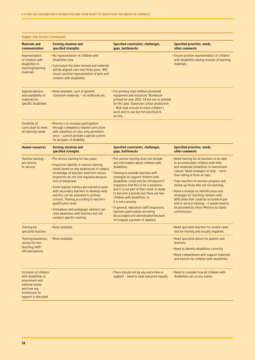| <b>Supply-side factors (continued)</b>                                                                             |                                                                                                                                                                                                                                                                                           |                                                                                                                                                                                                                                                                                                                                                                                                                       |                                                                                                                                                                                                                                                                                                |
|--------------------------------------------------------------------------------------------------------------------|-------------------------------------------------------------------------------------------------------------------------------------------------------------------------------------------------------------------------------------------------------------------------------------------|-----------------------------------------------------------------------------------------------------------------------------------------------------------------------------------------------------------------------------------------------------------------------------------------------------------------------------------------------------------------------------------------------------------------------|------------------------------------------------------------------------------------------------------------------------------------------------------------------------------------------------------------------------------------------------------------------------------------------------|
| Materials and<br>communication                                                                                     | <b>Existing situation and</b><br>specified strengths                                                                                                                                                                                                                                      | Specified constraints, challenges,<br>gaps, bottlenecks                                                                                                                                                                                                                                                                                                                                                               | Specified priorities, needs,<br>other comments                                                                                                                                                                                                                                                 |
| <b>Representation</b><br>of children with<br>disabilities in<br>teaching/learning<br>materials                     | . No representation of children with<br>disabilities now.                                                                                                                                                                                                                                 |                                                                                                                                                                                                                                                                                                                                                                                                                       | . Ensure positive representation of children<br>with disabilities during revision of learning                                                                                                                                                                                                  |
|                                                                                                                    | • Curriculum has been revised and materials<br>will be aligned over next three years. Will<br>ensure positive representation of girls and<br>children with disabilities.                                                                                                                  |                                                                                                                                                                                                                                                                                                                                                                                                                       | materials.                                                                                                                                                                                                                                                                                     |
| Appropriateness<br>and availability of<br>materials for<br>specific disabilities                                   | • None available. Lack of general<br>classroom materials - no textbooks etc.                                                                                                                                                                                                              | • Pre-primary class without promised<br>equipment and resources. Workbook<br>printed for year 2013-14 but not re-printed<br>for this year. Expensive colour production<br>- MoE told schools to erase children's<br>work and re-use but not practical to<br>do this.                                                                                                                                                  |                                                                                                                                                                                                                                                                                                |
| <b>Flexibility of</b><br>curriculum to meet<br>all learning needs                                                  | • Priority is to increase participation<br>through competency-based curriculum<br>with repetition of class only permitted<br>once - cannot provide a special system<br>for all types of disability.                                                                                       |                                                                                                                                                                                                                                                                                                                                                                                                                       |                                                                                                                                                                                                                                                                                                |
| Human resources                                                                                                    | <b>Existing situation and</b><br>specified strengths                                                                                                                                                                                                                                      | Specified constraints, challenges,<br>gaps, bottlenecks                                                                                                                                                                                                                                                                                                                                                               | Specified priorities, needs,<br>other comments                                                                                                                                                                                                                                                 |
| Teacher training -<br>pre service,<br>In-service                                                                   | • Pre service training for two years.<br>. Inspectors identify in-service training<br>needs based on any weaknesses in subject<br>knowledge of teachers and from census.<br>Inspectors do not visit regularly because<br>lack of manpower.<br>• Some teacher trainers are trained to work | • Pre-service training does not include<br>any information about children with<br>disabilities.<br>• Training to provide teachers with<br>strategies to support children with<br>disabilities could only be introduced if<br>inspectors find this to be a weakness<br>and it is not part of their remit. It needs<br>to become a priority but there are few<br>children with disabilities so<br>it is not a priority. | . Need training for all teachers to be able<br>to accommodate children with mild<br>and moderate disabilities in mainstream<br>classes. Need strategies to help - more<br>than sitting at front of class.<br>• Train teachers to monitor progress and<br>follow up those who are not learning. |
|                                                                                                                    | with secondary teachers to develop skills<br>and this can be extended to primary<br>schools. Training according to teachers'<br>qualification level.                                                                                                                                      |                                                                                                                                                                                                                                                                                                                                                                                                                       | • Need a module on identification and<br>strategies for teaching children with<br>difficulties that could be included in pre<br>and in-service training - it would need to<br>be provided by Union Ministry to island<br>commissions.                                                          |
|                                                                                                                    | • Animateurs and pedagogic advisers can<br>raise awareness with teachers but not<br>conduct specific training.                                                                                                                                                                            | . In general, education staff (inspectors,<br>teachers particularly) are being<br>discouraged and demotivated because<br>of irregular payment of salaries).                                                                                                                                                                                                                                                           |                                                                                                                                                                                                                                                                                                |
| <b>Training for</b><br>specialist teachers                                                                         | • None available.                                                                                                                                                                                                                                                                         |                                                                                                                                                                                                                                                                                                                                                                                                                       | . Need specialist teachers for severe cases<br>and for hearing and visually impaired.                                                                                                                                                                                                          |
| Training/awareness<br>raising for non-<br>teaching staff/<br>officials/parents                                     | • None available.                                                                                                                                                                                                                                                                         |                                                                                                                                                                                                                                                                                                                                                                                                                       | • Need specialist advice for parents and<br>teachers.<br>. Need to identify disabilities correctly.<br>• Need a department with support materials<br>and devices for children with disabilities.                                                                                               |
| Inclusion of children<br>with disabilities in<br>assessment and<br>national exams<br>and how any<br>entitlement to |                                                                                                                                                                                                                                                                                           | • There should not be any extra time or<br>support - need to treat everyone equally.                                                                                                                                                                                                                                                                                                                                  | • Need to consider how all children with<br>disabilities can access exams.                                                                                                                                                                                                                     |

58

support is allocated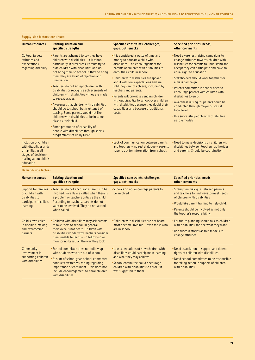| <b>Supply-side factors (continued)</b>                                                                                            |                                                                                                                                                                                                                                                                                                                                                                                                                                                                                                                                                                                                                                                                                                                                                                  |                                                                                                                                                                                                                                                                                                                                                                                                                                                                                                                                               |                                                                                                                                                                                                                                                                                                                                                                                                                                                                                                                                                   |
|-----------------------------------------------------------------------------------------------------------------------------------|------------------------------------------------------------------------------------------------------------------------------------------------------------------------------------------------------------------------------------------------------------------------------------------------------------------------------------------------------------------------------------------------------------------------------------------------------------------------------------------------------------------------------------------------------------------------------------------------------------------------------------------------------------------------------------------------------------------------------------------------------------------|-----------------------------------------------------------------------------------------------------------------------------------------------------------------------------------------------------------------------------------------------------------------------------------------------------------------------------------------------------------------------------------------------------------------------------------------------------------------------------------------------------------------------------------------------|---------------------------------------------------------------------------------------------------------------------------------------------------------------------------------------------------------------------------------------------------------------------------------------------------------------------------------------------------------------------------------------------------------------------------------------------------------------------------------------------------------------------------------------------------|
| <b>Human resources</b>                                                                                                            | <b>Existing situation and</b><br>specified strengths                                                                                                                                                                                                                                                                                                                                                                                                                                                                                                                                                                                                                                                                                                             | Specified constraints, challenges,<br>gaps, bottlenecks                                                                                                                                                                                                                                                                                                                                                                                                                                                                                       | Specified priorities, needs,<br>other comments                                                                                                                                                                                                                                                                                                                                                                                                                                                                                                    |
| Cultural issues/<br>attitudes and<br>expectations<br>regarding disability                                                         | • Parents are ashamed to say they have<br>children with disabilities - it is taboo,<br>particularly in rural areas. Parents try to<br>hide children with disabilities and do<br>not bring them to school. If they do bring<br>them they are afraid of rejection and<br>humiliation.<br>. Teachers do not accept children with<br>disabilities or recognise achievements of<br>children with disabilities - they are made<br>to repeat grades.<br>• Awareness that children with disabilities<br>should go to school but frightened of<br>teasing. Some parents would not like<br>children with disabilities to be in same<br>class as their child.<br>• Some promotion of capability of<br>people with disabilities through sports<br>programmes set up by DPOs. | • It is considered a waste of time and<br>money to educate a child with<br>disabilities - no encouragement for<br>parents of children with disabilities to<br>enrol their child in school.<br>• Children with disabilities are spoken<br>about with low expectations and are<br>told they cannot achieve, including by<br>teachers and parents.<br>• Parents will prioritise sending children<br>without disability to school over children<br>with disabilities because they doubt their<br>capabilities and because of additional<br>costs. | • Need awareness raising campaigns to<br>change attitudes towards children with<br>disabilities for parents to understand and<br>accept they can participate and have an<br>equal right to education.<br>• Stakeholders should work together for<br>a mass campaign.<br>• Parents committee in school need to<br>encourage parents with children with<br>disabilities to enrol.<br>• Awareness raising for parents could be<br>conducted through mayor offices at<br>local level.<br>. Use successful people with disabilities<br>as role models. |
| Inclusion of children<br>with disabilities and/<br>or families in all<br>stages of decision-<br>making about child's<br>education |                                                                                                                                                                                                                                                                                                                                                                                                                                                                                                                                                                                                                                                                                                                                                                  | • Lack of communication between parents<br>and teachers - no real dialogue - parents<br>have to ask for information from school.                                                                                                                                                                                                                                                                                                                                                                                                              | . Need to make decisions on children with<br>disabilities between teachers, authorities<br>and parents. Should be coordination.                                                                                                                                                                                                                                                                                                                                                                                                                   |
| <b>Demand-side factors</b>                                                                                                        |                                                                                                                                                                                                                                                                                                                                                                                                                                                                                                                                                                                                                                                                                                                                                                  |                                                                                                                                                                                                                                                                                                                                                                                                                                                                                                                                               |                                                                                                                                                                                                                                                                                                                                                                                                                                                                                                                                                   |
| <b>Human resources</b>                                                                                                            | <b>Existing situation and</b><br>specified strengths                                                                                                                                                                                                                                                                                                                                                                                                                                                                                                                                                                                                                                                                                                             | Specified constraints, challenges,<br>gaps, bottlenecks                                                                                                                                                                                                                                                                                                                                                                                                                                                                                       | Specified priorities, needs,<br>other comments                                                                                                                                                                                                                                                                                                                                                                                                                                                                                                    |
| <b>Support for families</b><br>of children with<br>disabilities to<br>participate in child's<br>learning                          | • Teachers do not encourage parents to be<br>involved. Parents are called when there is<br>a problem or teachers criticise the child.<br>According to teachers, parents do not<br>want to be involved. They do not attend<br>when called.                                                                                                                                                                                                                                                                                                                                                                                                                                                                                                                        | • Schools do not encourage parents to<br>be involved.                                                                                                                                                                                                                                                                                                                                                                                                                                                                                         | • Strengthen dialogue between parents<br>and teachers to find ways to meet needs<br>of children with disabilities.<br>. Would like parent training to help child.<br>• Parents should be involved as not only<br>the teacher's responsibility.                                                                                                                                                                                                                                                                                                    |
| Child's own voice<br>in decision-making<br>and overcoming<br><b>barriers</b>                                                      | • Children with disabilities may ask parents<br>to take them to school. In general<br>their voice is not heard. Children with<br>disabilities wonder why teachers consider<br>them unable to learn - no follow-up or<br>monitoring based on the way they look.                                                                                                                                                                                                                                                                                                                                                                                                                                                                                                   | • Children with disabilities are not heard;<br>most become invisible – even those who<br>are in school.                                                                                                                                                                                                                                                                                                                                                                                                                                       | . For future planning should talk to children<br>with disabilities and see what they want.<br>• Use success stories as role models to<br>change attitudes.                                                                                                                                                                                                                                                                                                                                                                                        |
| Community<br>involvement in<br>supporting children<br>with disabilities                                                           | • School committee does not follow up<br>with students who are out of school.<br>• At start of school year, school committee<br>conducts awareness-raising regarding<br>importance of enrolment - this does not<br>include encouragement to enrol children<br>with disabilities.                                                                                                                                                                                                                                                                                                                                                                                                                                                                                 | • Low expectations of how children with<br>disabilities could participate in learning<br>and what they may achieve.<br>· School committee could encourage<br>children with disabilities to enrol if it<br>was suggested to them.                                                                                                                                                                                                                                                                                                              | • Need association to support and defend<br>rights of children with disabilities.<br>• Need school committees to be responsible<br>for taking action in support of children<br>with disabilities.                                                                                                                                                                                                                                                                                                                                                 |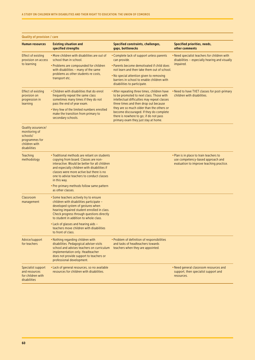| <b>Quality of provision / care</b>                                                                 |                                                                                                                                                                                                                                                                                                 |                                                                                                                                                                                   |                                                                                                                          |
|----------------------------------------------------------------------------------------------------|-------------------------------------------------------------------------------------------------------------------------------------------------------------------------------------------------------------------------------------------------------------------------------------------------|-----------------------------------------------------------------------------------------------------------------------------------------------------------------------------------|--------------------------------------------------------------------------------------------------------------------------|
| <b>Human resources</b>                                                                             | <b>Existing situation and</b><br>specified strengths                                                                                                                                                                                                                                            | Specified constraints, challenges,<br>gaps, bottlenecks                                                                                                                           | Specified priorities, needs,<br>other comments                                                                           |
| <b>Effect of existing</b><br>provision on access                                                   | • More children with disabilities are out of<br>school than in school.                                                                                                                                                                                                                          | • Complete lack of support unless parents<br>can provide.                                                                                                                         | . Need specialist teachers for children with<br>disabilities - especially hearing and visually                           |
| to learning                                                                                        | • Problems are compounded for children<br>with disabilities - many of the same<br>problems as other students re costs,<br>transport etc.                                                                                                                                                        | • Parents become demotivated if child does<br>not learn and then take them out of school.                                                                                         | impaired.                                                                                                                |
|                                                                                                    |                                                                                                                                                                                                                                                                                                 | . No special attention given to removing<br>barriers in school to enable children with<br>disabilities to participate.                                                            |                                                                                                                          |
| <b>Effect of existing</b><br>provision on<br>progression in<br>learning                            | • Children with disabilities that do enrol<br>frequently repeat the same class<br>sometimes many times if they do not<br>pass the end of year exam.                                                                                                                                             | • After repeating three times, children have<br>to be promoted to next class. Those with<br>intellectual difficulties may repeat classes<br>three times and then drop out because | . Need to have TVET classes for post-primary<br>children with disabilities.                                              |
|                                                                                                    | . Very few of the limited numbers enrolled<br>make the transition from primary to<br>secondary schools.                                                                                                                                                                                         | they are so much older than the others or<br>become discouraged. If they do complete<br>there is nowhere to go; if do not pass<br>primary exam they just stay at home.            |                                                                                                                          |
| Quality assurance/<br>monitoring of<br>schools/<br>programmes for<br>children with<br>disabilities |                                                                                                                                                                                                                                                                                                 |                                                                                                                                                                                   |                                                                                                                          |
| <b>Teaching</b><br>methodology                                                                     | • Traditional methods are reliant on students<br>copying from board. Classes are non-<br>interactive. Would be better for all children<br>and especially children with disabilities if<br>classes were more active but there is no<br>one to advise teachers to conduct classes<br>in this way. |                                                                                                                                                                                   | . Plan is in place to train teachers to<br>use competency-based approach and<br>evaluation to improve teaching practice. |
|                                                                                                    | . Pre-primary methods follow same pattern<br>as other classes.                                                                                                                                                                                                                                  |                                                                                                                                                                                   |                                                                                                                          |
| Classroom<br>management                                                                            | • Some teachers actively try to ensure<br>children with disabilities participate -<br>developed system of gestures when<br>hearing impaired student enrolled in class.<br>Check progress through questions directly<br>to student in addition to whole class.                                   |                                                                                                                                                                                   |                                                                                                                          |
|                                                                                                    | • Lack of glasses and hearing aids -<br>teachers move children with disabilities<br>to front of class.                                                                                                                                                                                          |                                                                                                                                                                                   |                                                                                                                          |
| Advice/support<br>for teachers                                                                     | • Nothing regarding children with<br>disabilities. Pedagogical adviser visits<br>school and advises teachers on curriculum<br>implementation only. Headteacher<br>does not provide support to teachers or<br>professional development.                                                          | • Problem of definition of responsibilities<br>and tasks of headteachers towards<br>teachers when they are appointed.                                                             |                                                                                                                          |
| Specialist support<br>and resources<br>for children with<br>disabilities                           | • Lack of general resources, so no available<br>resources for children with disabilities.                                                                                                                                                                                                       |                                                                                                                                                                                   | • Need general classroom resources and<br>support, then specialist support and<br>resources.                             |